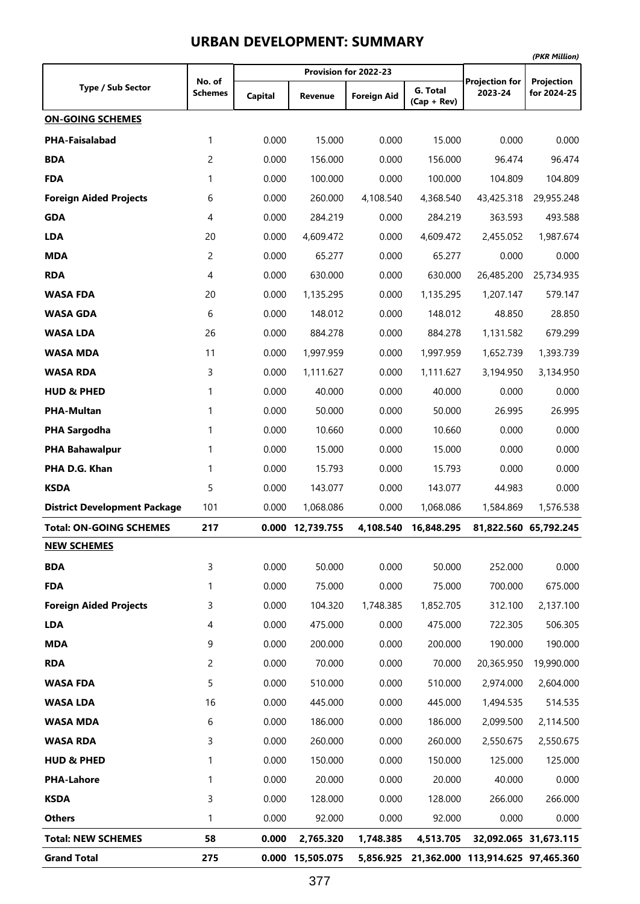|                                     |         |         |                  |                       |                           |                                             | (PKR Million)         |
|-------------------------------------|---------|---------|------------------|-----------------------|---------------------------|---------------------------------------------|-----------------------|
|                                     | No. of  |         |                  | Provision for 2022-23 |                           | <b>Projection for</b>                       | Projection            |
| <b>Type / Sub Sector</b>            | Schemes | Capital | Revenue          | <b>Foreign Aid</b>    | G. Total<br>$(Cap + Rev)$ | 2023-24                                     | for 2024-25           |
| <b>ON-GOING SCHEMES</b>             |         |         |                  |                       |                           |                                             |                       |
| <b>PHA-Faisalabad</b>               | 1       | 0.000   | 15.000           | 0.000                 | 15.000                    | 0.000                                       | 0.000                 |
| <b>BDA</b>                          | 2       | 0.000   | 156.000          | 0.000                 | 156.000                   | 96.474                                      | 96.474                |
| <b>FDA</b>                          | 1       | 0.000   | 100.000          | 0.000                 | 100.000                   | 104.809                                     | 104.809               |
| <b>Foreign Aided Projects</b>       | 6       | 0.000   | 260.000          | 4,108.540             | 4,368.540                 | 43,425.318                                  | 29,955.248            |
| <b>GDA</b>                          | 4       | 0.000   | 284.219          | 0.000                 | 284,219                   | 363.593                                     | 493.588               |
| <b>LDA</b>                          | 20      | 0.000   | 4,609.472        | 0.000                 | 4,609.472                 | 2,455.052                                   | 1,987.674             |
| <b>MDA</b>                          | 2       | 0.000   | 65.277           | 0.000                 | 65.277                    | 0.000                                       | 0.000                 |
| <b>RDA</b>                          | 4       | 0.000   | 630.000          | 0.000                 | 630.000                   | 26,485.200                                  | 25,734.935            |
| <b>WASA FDA</b>                     | 20      | 0.000   | 1,135.295        | 0.000                 | 1,135.295                 | 1,207.147                                   | 579.147               |
| <b>WASA GDA</b>                     | 6       | 0.000   | 148.012          | 0.000                 | 148.012                   | 48.850                                      | 28.850                |
| <b>WASA LDA</b>                     | 26      | 0.000   | 884.278          | 0.000                 | 884.278                   | 1,131.582                                   | 679.299               |
| <b>WASA MDA</b>                     | 11      | 0.000   | 1,997.959        | 0.000                 | 1,997.959                 | 1,652.739                                   | 1,393.739             |
| <b>WASA RDA</b>                     | 3       | 0.000   | 1,111.627        | 0.000                 | 1,111.627                 | 3,194.950                                   | 3,134.950             |
| <b>HUD &amp; PHED</b>               | 1       | 0.000   | 40.000           | 0.000                 | 40.000                    | 0.000                                       | 0.000                 |
| <b>PHA-Multan</b>                   | 1       | 0.000   | 50.000           | 0.000                 | 50.000                    | 26.995                                      | 26.995                |
| <b>PHA Sargodha</b>                 | 1       | 0.000   | 10.660           | 0.000                 | 10.660                    | 0.000                                       | 0.000                 |
| <b>PHA Bahawalpur</b>               | 1       | 0.000   | 15.000           | 0.000                 | 15.000                    | 0.000                                       | 0.000                 |
| PHA D.G. Khan                       | 1       | 0.000   | 15.793           | 0.000                 | 15.793                    | 0.000                                       | 0.000                 |
| <b>KSDA</b>                         | 5       | 0.000   | 143.077          | 0.000                 | 143.077                   | 44.983                                      | 0.000                 |
| <b>District Development Package</b> | 101     | 0.000   | 1,068.086        | 0.000                 | 1,068.086                 | 1,584.869                                   | 1,576.538             |
| <b>Total: ON-GOING SCHEMES</b>      | 217     |         | 0.000 12,739.755 | 4,108.540             | 16,848.295                |                                             | 81,822.560 65,792.245 |
| <b>NEW SCHEMES</b>                  |         |         |                  |                       |                           |                                             |                       |
| <b>BDA</b>                          | 3       | 0.000   | 50.000           | 0.000                 | 50.000                    | 252.000                                     | 0.000                 |
| <b>FDA</b>                          | 1       | 0.000   | 75.000           | 0.000                 | 75.000                    | 700.000                                     | 675.000               |
| <b>Foreign Aided Projects</b>       | 3       | 0.000   | 104.320          | 1,748.385             | 1,852.705                 | 312.100                                     | 2,137.100             |
| <b>LDA</b>                          | 4       | 0.000   | 475.000          | 0.000                 | 475.000                   | 722.305                                     | 506.305               |
| <b>MDA</b>                          | 9       | 0.000   | 200.000          | 0.000                 | 200.000                   | 190.000                                     | 190.000               |
| <b>RDA</b>                          | 2       | 0.000   | 70.000           | 0.000                 | 70.000                    | 20,365.950                                  | 19,990.000            |
| <b>WASA FDA</b>                     | 5       | 0.000   | 510.000          | 0.000                 | 510.000                   | 2,974.000                                   | 2,604.000             |
| <b>WASA LDA</b>                     | 16      | 0.000   | 445.000          | 0.000                 | 445.000                   | 1,494.535                                   | 514.535               |
| <b>WASA MDA</b>                     | 6       | 0.000   | 186.000          | 0.000                 | 186.000                   | 2,099.500                                   | 2,114.500             |
| <b>WASA RDA</b>                     | 3       | 0.000   | 260.000          | 0.000                 | 260.000                   | 2,550.675                                   | 2,550.675             |
| <b>HUD &amp; PHED</b>               | 1       | 0.000   | 150.000          | 0.000                 | 150.000                   | 125.000                                     | 125.000               |
| <b>PHA-Lahore</b>                   | 1       | 0.000   | 20.000           | 0.000                 | 20.000                    | 40.000                                      | 0.000                 |
| <b>KSDA</b>                         | 3       | 0.000   | 128.000          | 0.000                 | 128.000                   | 266.000                                     | 266.000               |
| <b>Others</b>                       | 1       | 0.000   | 92.000           | 0.000                 | 92.000                    | 0.000                                       | 0.000                 |
| <b>Total: NEW SCHEMES</b>           | 58      | 0.000   | 2,765.320        | 1,748.385             | 4,513.705                 |                                             | 32,092.065 31,673.115 |
| <b>Grand Total</b>                  | 275     |         | 0.000 15,505.075 |                       |                           | 5,856.925 21,362.000 113,914.625 97,465.360 |                       |

#### **URBAN DEVELOPMENT: SUMMARY**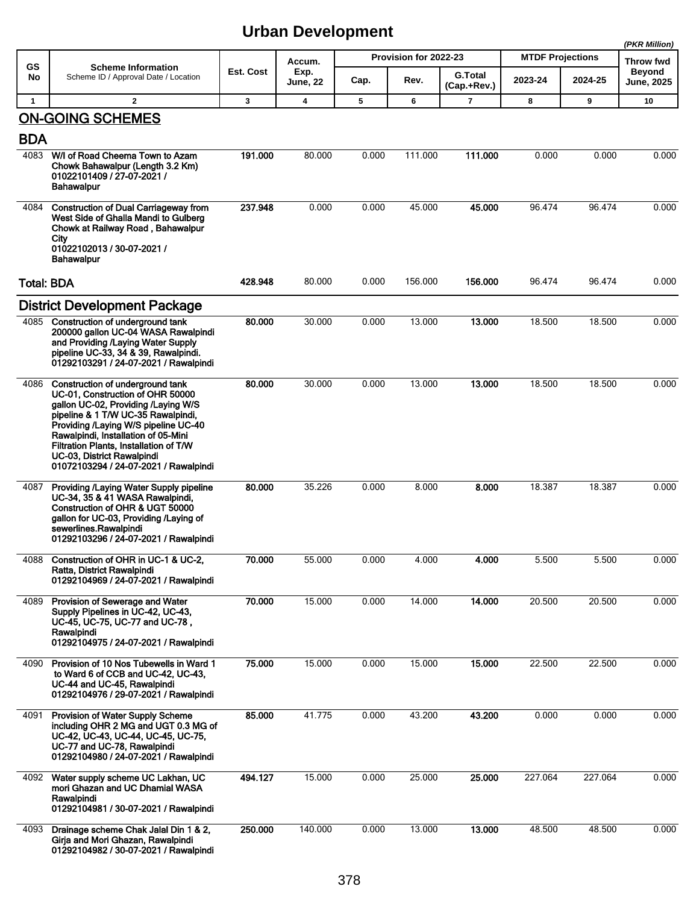|                   |                                                                                                                                                                                                                                                                                                                                                   |           |                         |       |                       |                               |                         |         | (PKR Million)              |
|-------------------|---------------------------------------------------------------------------------------------------------------------------------------------------------------------------------------------------------------------------------------------------------------------------------------------------------------------------------------------------|-----------|-------------------------|-------|-----------------------|-------------------------------|-------------------------|---------|----------------------------|
| GS                | <b>Scheme Information</b>                                                                                                                                                                                                                                                                                                                         | Est. Cost | Accum.                  |       | Provision for 2022-23 |                               | <b>MTDF Projections</b> |         | Throw fwd<br><b>Beyond</b> |
| No                | Scheme ID / Approval Date / Location                                                                                                                                                                                                                                                                                                              |           | Exp.<br><b>June, 22</b> | Cap.  | Rev.                  | <b>G.Total</b><br>(Cap.+Rev.) | 2023-24                 | 2024-25 | <b>June, 2025</b>          |
| $\mathbf{1}$      | $\overline{2}$                                                                                                                                                                                                                                                                                                                                    | 3         | 4                       | 5     | 6                     | $\overline{7}$                | 8                       | 9       | 10                         |
|                   | <b>ON-GOING SCHEMES</b>                                                                                                                                                                                                                                                                                                                           |           |                         |       |                       |                               |                         |         |                            |
| <b>BDA</b>        |                                                                                                                                                                                                                                                                                                                                                   |           |                         |       |                       |                               |                         |         |                            |
| 4083              | W/I of Road Cheema Town to Azam<br>Chowk Bahawalpur (Length 3.2 Km)<br>01022101409 / 27-07-2021 /<br><b>Bahawalpur</b>                                                                                                                                                                                                                            | 191.000   | 80.000                  | 0.000 | 111.000               | 111.000                       | 0.000                   | 0.000   | 0.000                      |
| 4084              | <b>Construction of Dual Carriageway from</b><br>West Side of Ghalla Mandi to Gulberg<br>Chowk at Railway Road, Bahawalpur<br>City<br>01022102013 / 30-07-2021 /<br><b>Bahawalpur</b>                                                                                                                                                              | 237.948   | 0.000                   | 0.000 | 45.000                | 45,000                        | 96.474                  | 96.474  | 0.000                      |
| <b>Total: BDA</b> |                                                                                                                                                                                                                                                                                                                                                   | 428.948   | 80.000                  | 0.000 | 156.000               | 156.000                       | 96.474                  | 96.474  | 0.000                      |
|                   | <b>District Development Package</b>                                                                                                                                                                                                                                                                                                               |           |                         |       |                       |                               |                         |         |                            |
|                   | 4085 Construction of underground tank<br>200000 gallon UC-04 WASA Rawalpindi<br>and Providing /Laying Water Supply<br>pipeline UC-33, 34 & 39, Rawalpindi.<br>01292103291 / 24-07-2021 / Rawalpindi                                                                                                                                               | 80.000    | 30.000                  | 0.000 | 13.000                | 13.000                        | 18.500                  | 18.500  | 0.000                      |
| 4086              | Construction of underground tank<br>UC-01, Construction of OHR 50000<br>gallon UC-02, Providing /Laying W/S<br>pipeline & 1 T/W UC-35 Rawalpindi,<br>Providing /Laying W/S pipeline UC-40<br>Rawalpindi, Installation of 05-Mini<br>Filtration Plants, Installation of T/W<br>UC-03, District Rawalpindi<br>01072103294 / 24-07-2021 / Rawalpindi | 80.000    | 30.000                  | 0.000 | 13.000                | 13,000                        | 18.500                  | 18.500  | 0.000                      |
| 4087              | <b>Providing /Laying Water Supply pipeline</b><br>UC-34, 35 & 41 WASA Rawalpindi,<br>Construction of OHR & UGT 50000<br>gallon for UC-03, Providing /Laying of<br>sewerlines.Rawalpindi<br>01292103296 / 24-07-2021 / Rawalpindi                                                                                                                  | 80.000    | 35.226                  | 0.000 | 8.000                 | 8.000                         | 18.387                  | 18.387  | 0.000                      |
|                   | 4088 Construction of OHR in UC-1 & UC-2,<br>Ratta, District Rawalpindi<br>01292104969 / 24-07-2021 / Rawalpindi                                                                                                                                                                                                                                   | 70.000    | 55.000                  | 0.000 | 4.000                 | 4.000                         | 5.500                   | 5.500   | 0.000                      |
| 4089              | Provision of Sewerage and Water<br>Supply Pipelines in UC-42, UC-43,<br>UC-45, UC-75, UC-77 and UC-78,<br>Rawalpindi<br>01292104975 / 24-07-2021 / Rawalpindi                                                                                                                                                                                     | 70.000    | 15.000                  | 0.000 | 14.000                | 14.000                        | 20.500                  | 20.500  | 0.000                      |
| 4090              | Provision of 10 Nos Tubewells in Ward 1<br>to Ward 6 of CCB and UC-42, UC-43,<br>UC-44 and UC-45, Rawalpindi<br>01292104976 / 29-07-2021 / Rawalpindi                                                                                                                                                                                             | 75.000    | 15.000                  | 0.000 | 15.000                | 15.000                        | 22.500                  | 22.500  | 0.000                      |
| 4091              | <b>Provision of Water Supply Scheme</b><br>including OHR 2 MG and UGT 0.3 MG of<br>UC-42, UC-43, UC-44, UC-45, UC-75,<br>UC-77 and UC-78, Rawalpindi<br>01292104980 / 24-07-2021 / Rawalpindi                                                                                                                                                     | 85.000    | 41.775                  | 0.000 | 43.200                | 43.200                        | 0.000                   | 0.000   | 0.000                      |
| 4092              | Water supply scheme UC Lakhan, UC<br>mori Ghazan and UC Dhamial WASA<br>Rawalpindi<br>01292104981 / 30-07-2021 / Rawalpindi                                                                                                                                                                                                                       | 494.127   | 15.000                  | 0.000 | 25.000                | 25.000                        | 227.064                 | 227.064 | 0.000                      |
| 4093              | Drainage scheme Chak Jalal Din 1 & 2,<br>Girja and Mori Ghazan, Rawalpindi<br>01292104982 / 30-07-2021 / Rawalpindi                                                                                                                                                                                                                               | 250.000   | 140.000                 | 0.000 | 13.000                | 13.000                        | 48.500                  | 48.500  | 0.000                      |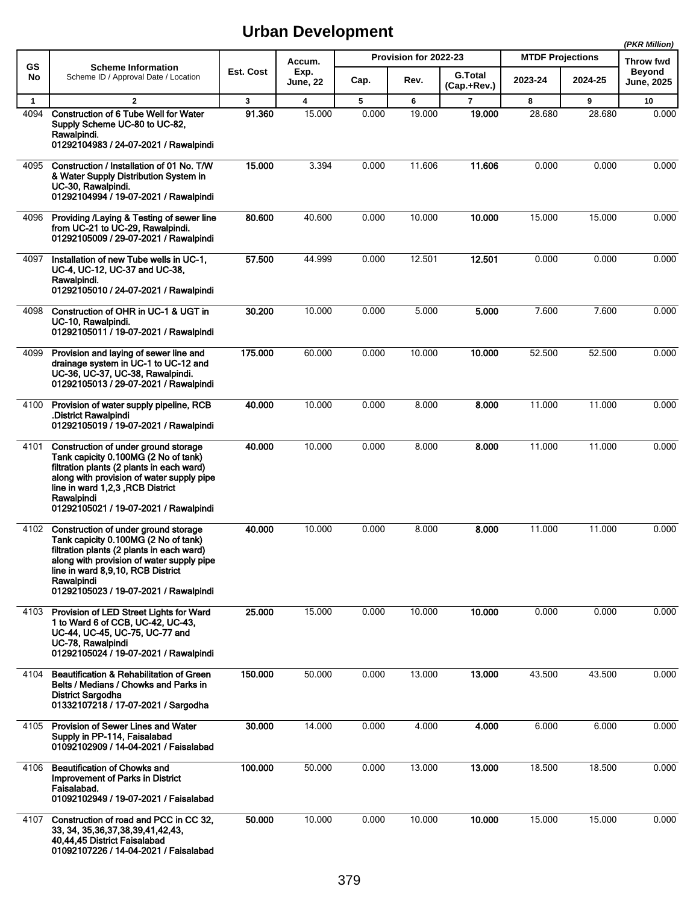|                      |                                                                                                                                                                                                                                                                    |             |                                   |            |                       |                          |                         |             | (PKR Million)                     |
|----------------------|--------------------------------------------------------------------------------------------------------------------------------------------------------------------------------------------------------------------------------------------------------------------|-------------|-----------------------------------|------------|-----------------------|--------------------------|-------------------------|-------------|-----------------------------------|
| <b>GS</b><br>No      | <b>Scheme Information</b><br>Scheme ID / Approval Date / Location                                                                                                                                                                                                  | Est. Cost   | Accum.<br>Exp.                    |            | Provision for 2022-23 | <b>G.Total</b>           | <b>MTDF Projections</b> |             | <b>Throw fwd</b><br><b>Beyond</b> |
|                      |                                                                                                                                                                                                                                                                    |             | June, 22                          | Cap.       | Rev.                  | (Cap.+Rev.)              | 2023-24                 | 2024-25     | <b>June, 2025</b>                 |
| $\mathbf{1}$<br>4094 | $\overline{2}$<br><b>Construction of 6 Tube Well for Water</b><br>Supply Scheme UC-80 to UC-82,<br>Rawalpindi.<br>01292104983 / 24-07-2021 / Rawalpindi                                                                                                            | 3<br>91.360 | $\overline{\mathbf{4}}$<br>15.000 | 5<br>0.000 | 6<br>19.000           | $\overline{7}$<br>19.000 | 8<br>28.680             | 9<br>28.680 | 10<br>0.000                       |
| 4095                 | Construction / Installation of 01 No. T/W<br>& Water Supply Distribution System in<br>UC-30, Rawalpindi.<br>01292104994 / 19-07-2021 / Rawalpindi                                                                                                                  | 15.000      | 3.394                             | 0.000      | 11.606                | 11.606                   | 0.000                   | 0.000       | 0.000                             |
| 4096                 | Providing /Laying & Testing of sewer line<br>from UC-21 to UC-29, Rawalpindi.<br>01292105009 / 29-07-2021 / Rawalpindi                                                                                                                                             | 80.600      | 40.600                            | 0.000      | 10.000                | 10.000                   | 15.000                  | 15.000      | 0.000                             |
| 4097                 | Installation of new Tube wells in UC-1,<br>UC-4, UC-12, UC-37 and UC-38,<br>Rawalpindi.<br>01292105010 / 24-07-2021 / Rawalpindi                                                                                                                                   | 57.500      | 44.999                            | 0.000      | 12.501                | 12.501                   | 0.000                   | 0.000       | 0.000                             |
| 4098                 | Construction of OHR in UC-1 & UGT in<br>UC-10, Rawalpindi.<br>01292105011 / 19-07-2021 / Rawalpindi                                                                                                                                                                | 30.200      | 10.000                            | 0.000      | 5.000                 | 5.000                    | 7.600                   | 7.600       | 0.000                             |
| 4099                 | Provision and laying of sewer line and<br>drainage system in UC-1 to UC-12 and<br>UC-36, UC-37, UC-38, Rawalpindi.<br>01292105013 / 29-07-2021 / Rawalpindi                                                                                                        | 175.000     | 60.000                            | 0.000      | 10.000                | 10.000                   | 52.500                  | 52.500      | 0.000                             |
| 4100                 | Provision of water supply pipeline, RCB<br>.District Rawalpindi<br>01292105019 / 19-07-2021 / Rawalpindi                                                                                                                                                           | 40.000      | 10.000                            | 0.000      | 8.000                 | 8.000                    | 11.000                  | 11.000      | 0.000                             |
| 4101                 | Construction of under ground storage<br>Tank capicity 0.100MG (2 No of tank)<br>filtration plants (2 plants in each ward)<br>along with provision of water supply pipe<br>line in ward 1,2,3, RCB District<br>Rawalpindi<br>01292105021 / 19-07-2021 / Rawalpindi  | 40.000      | 10.000                            | 0.000      | 8.000                 | 8.000                    | 11.000                  | 11.000      | 0.000                             |
| 4102                 | Construction of under ground storage<br>Tank capicity 0.100MG (2 No of tank)<br>filtration plants (2 plants in each ward)<br>along with provision of water supply pipe<br>line in ward 8.9.10. RCB District<br>Rawalpindi<br>01292105023 / 19-07-2021 / Rawalpindi | 40.000      | 10.000                            | 0.000      | 8.000                 | 8.000                    | 11.000                  | 11.000      | 0.000                             |
| 4103                 | Provision of LED Street Lights for Ward<br>1 to Ward 6 of CCB, UC-42, UC-43,<br>UC-44, UC-45, UC-75, UC-77 and<br>UC-78, Rawalpindi<br>01292105024 / 19-07-2021 / Rawalpindi                                                                                       | 25.000      | 15.000                            | 0.000      | 10.000                | 10.000                   | 0.000                   | 0.000       | 0.000                             |
| 4104                 | <b>Beautification &amp; Rehabilitation of Green</b><br>Belts / Medians / Chowks and Parks in<br><b>District Sargodha</b><br>01332107218 / 17-07-2021 / Sargodha                                                                                                    | 150.000     | 50.000                            | 0.000      | 13.000                | 13.000                   | 43.500                  | 43.500      | 0.000                             |
| 4105                 | Provision of Sewer Lines and Water<br>Supply in PP-114, Faisalabad<br>01092102909 / 14-04-2021 / Faisalabad                                                                                                                                                        | 30.000      | 14.000                            | 0.000      | 4.000                 | 4.000                    | 6.000                   | 6.000       | 0.000                             |
| 4106                 | <b>Beautification of Chowks and</b><br>Improvement of Parks in District<br>Faisalabad.<br>01092102949 / 19-07-2021 / Faisalabad                                                                                                                                    | 100.000     | 50.000                            | 0.000      | 13.000                | 13.000                   | 18.500                  | 18.500      | 0.000                             |
| 4107                 | Construction of road and PCC in CC 32,<br>33, 34, 35, 36, 37, 38, 39, 41, 42, 43,<br>40,44,45 District Faisalabad<br>01092107226 / 14-04-2021 / Faisalabad                                                                                                         | 50.000      | 10.000                            | 0.000      | 10.000                | 10.000                   | 15.000                  | 15.000      | 0.000                             |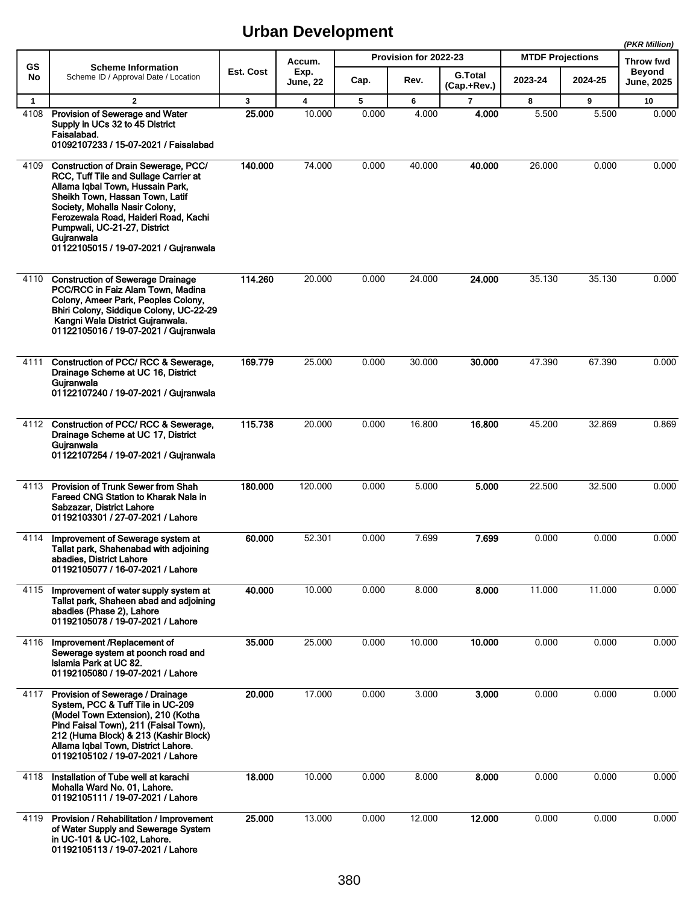|              |                                                                                                                                                                                                                                                                                                                       |           |                         |       |                       |                               |                         |         | (PKR Million)               |
|--------------|-----------------------------------------------------------------------------------------------------------------------------------------------------------------------------------------------------------------------------------------------------------------------------------------------------------------------|-----------|-------------------------|-------|-----------------------|-------------------------------|-------------------------|---------|-----------------------------|
| <b>GS</b>    | <b>Scheme Information</b>                                                                                                                                                                                                                                                                                             |           | Accum.                  |       | Provision for 2022-23 |                               | <b>MTDF Projections</b> |         | <b>Throw fwd</b>            |
| No           | Scheme ID / Approval Date / Location                                                                                                                                                                                                                                                                                  | Est. Cost | Exp.<br><b>June, 22</b> | Cap.  | Rev.                  | <b>G.Total</b><br>(Cap.+Rev.) | 2023-24                 | 2024-25 | <b>Beyond</b><br>June, 2025 |
| $\mathbf{1}$ | $\overline{2}$                                                                                                                                                                                                                                                                                                        | 3         | $\overline{\mathbf{4}}$ | 5     | 6                     | $\overline{7}$                | 8                       | 9       | 10                          |
| 4108         | Provision of Sewerage and Water<br>Supply in UCs 32 to 45 District<br>Faisalabad.<br>01092107233 / 15-07-2021 / Faisalabad                                                                                                                                                                                            | 25.000    | 10.000                  | 0.000 | 4.000                 | 4.000                         | 5.500                   | 5.500   | 0.000                       |
| 4109         | Construction of Drain Sewerage, PCC/<br>RCC, Tuff Tile and Sullage Carrier at<br>Allama Igbal Town, Hussain Park,<br>Sheikh Town, Hassan Town, Latif<br>Society, Mohalla Nasir Colony,<br>Ferozewala Road, Haideri Road, Kachi<br>Pumpwali, UC-21-27, District<br>Gujranwala<br>01122105015 / 19-07-2021 / Gujranwala | 140,000   | 74.000                  | 0.000 | 40.000                | 40.000                        | 26.000                  | 0.000   | 0.000                       |
| 4110         | <b>Construction of Sewerage Drainage</b><br>PCC/RCC in Faiz Alam Town, Madina<br>Colony, Ameer Park, Peoples Colony,<br>Bhiri Colony, Siddique Colony, UC-22-29<br>Kangni Wala District Gujranwala.<br>01122105016 / 19-07-2021 / Gujranwala                                                                          | 114.260   | 20.000                  | 0.000 | 24.000                | 24.000                        | 35.130                  | 35.130  | 0.000                       |
| 4111         | Construction of PCC/ RCC & Sewerage,<br>Drainage Scheme at UC 16, District<br>Gujranwala<br>01122107240 / 19-07-2021 / Gujranwala                                                                                                                                                                                     | 169.779   | 25.000                  | 0.000 | 30.000                | 30.000                        | 47.390                  | 67.390  | 0.000                       |
| 4112         | Construction of PCC/ RCC & Sewerage,<br>Drainage Scheme at UC 17, District<br>Gujranwala<br>01122107254 / 19-07-2021 / Gujranwala                                                                                                                                                                                     | 115.738   | 20.000                  | 0.000 | 16.800                | 16.800                        | 45.200                  | 32.869  | 0.869                       |
| 4113         | Provision of Trunk Sewer from Shah<br>Fareed CNG Station to Kharak Nala in<br>Sabzazar, District Lahore<br>01192103301 / 27-07-2021 / Lahore                                                                                                                                                                          | 180.000   | 120.000                 | 0.000 | 5.000                 | 5.000                         | 22.500                  | 32.500  | 0.000                       |
| 4114         | Improvement of Sewerage system at<br>Tallat park, Shahenabad with adjoining<br>abadies, District Lahore<br>01192105077 / 16-07-2021 / Lahore                                                                                                                                                                          | 60.000    | 52.301                  | 0.000 | 7.699                 | 7.699                         | 0.000                   | 0.000   | 0.000                       |
| 4115         | Improvement of water supply system at<br>Tallat park, Shaheen abad and adjoining<br>abadies (Phase 2), Lahore<br>01192105078 / 19-07-2021 / Lahore                                                                                                                                                                    | 40.000    | 10.000                  | 0.000 | 8.000                 | 8.000                         | 11.000                  | 11.000  | 0.000                       |
| 4116         | Improvement /Replacement of<br>Sewerage system at poonch road and<br>Islamia Park at UC 82.<br>01192105080 / 19-07-2021 / Lahore                                                                                                                                                                                      | 35.000    | 25.000                  | 0.000 | 10.000                | 10.000                        | 0.000                   | 0.000   | 0.000                       |
| 4117         | Provision of Sewerage / Drainage<br>System, PCC & Tuff Tile in UC-209<br>(Model Town Extension), 210 (Kotha<br>Pind Faisal Town), 211 (Faisal Town),<br>212 (Huma Block) & 213 (Kashir Block)<br>Allama Iqbal Town, District Lahore.<br>01192105102 / 19-07-2021 / Lahore                                             | 20.000    | 17.000                  | 0.000 | 3.000                 | 3.000                         | 0.000                   | 0.000   | 0.000                       |
| 4118         | Installation of Tube well at karachi<br>Mohalla Ward No. 01, Lahore.<br>01192105111 / 19-07-2021 / Lahore                                                                                                                                                                                                             | 18.000    | 10.000                  | 0.000 | 8.000                 | 8.000                         | 0.000                   | 0.000   | 0.000                       |
| 4119         | Provision / Rehabilitation / Improvement<br>of Water Supply and Sewerage System<br>in UC-101 & UC-102, Lahore.<br>01192105113 / 19-07-2021 / Lahore                                                                                                                                                                   | 25.000    | 13.000                  | 0.000 | 12.000                | 12.000                        | 0.000                   | 0.000   | 0.000                       |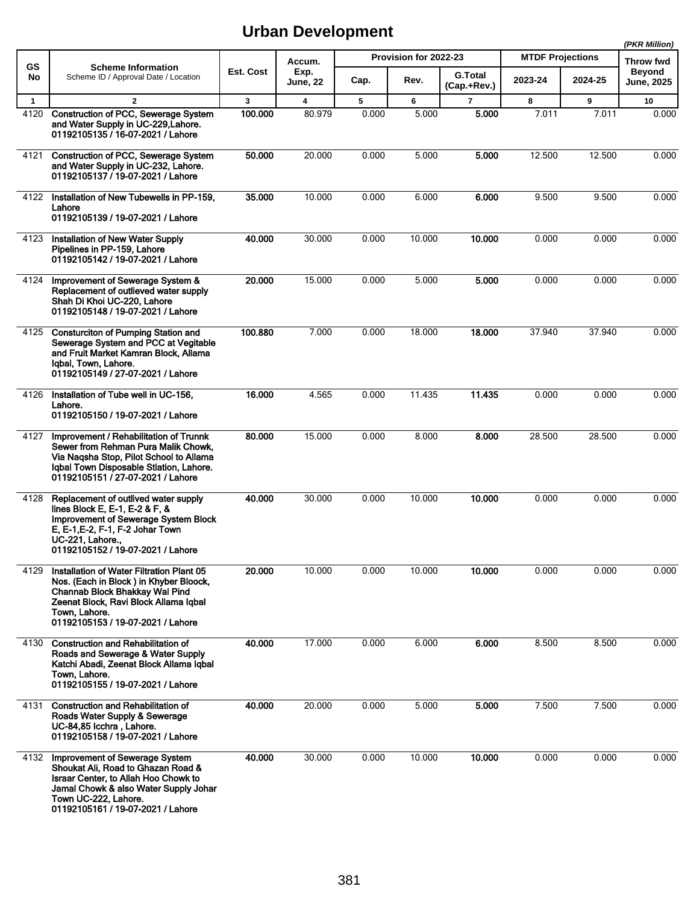|              |                                                                                                                                                                                                                      |           |                         |       |                       |                               |                         |         | (PKR Million)               |
|--------------|----------------------------------------------------------------------------------------------------------------------------------------------------------------------------------------------------------------------|-----------|-------------------------|-------|-----------------------|-------------------------------|-------------------------|---------|-----------------------------|
| <b>GS</b>    | <b>Scheme Information</b>                                                                                                                                                                                            |           | Accum.                  |       | Provision for 2022-23 |                               | <b>MTDF Projections</b> |         | <b>Throw fwd</b>            |
| No           | Scheme ID / Approval Date / Location                                                                                                                                                                                 | Est. Cost | Exp.<br><b>June, 22</b> | Cap.  | Rev.                  | <b>G.Total</b><br>(Cap.+Rev.) | 2023-24                 | 2024-25 | <b>Beyond</b><br>June, 2025 |
| $\mathbf{1}$ | $\overline{2}$                                                                                                                                                                                                       | 3         | 4                       | 5     | 6                     | $\overline{7}$                | 8                       | 9       | 10                          |
| 4120         | Construction of PCC, Sewerage System<br>and Water Supply in UC-229, Lahore.<br>01192105135 / 16-07-2021 / Lahore                                                                                                     | 100.000   | 80.979                  | 0.000 | 5.000                 | 5.000                         | 7.011                   | 7.011   | 0.000                       |
| 4121         | Construction of PCC, Sewerage System<br>and Water Supply in UC-232, Lahore.<br>01192105137 / 19-07-2021 / Lahore                                                                                                     | 50.000    | 20.000                  | 0.000 | 5.000                 | 5.000                         | 12.500                  | 12.500  | 0.000                       |
| 4122         | Installation of New Tubewells in PP-159.<br>Lahore<br>01192105139 / 19-07-2021 / Lahore                                                                                                                              | 35.000    | 10.000                  | 0.000 | 6.000                 | 6.000                         | 9.500                   | 9.500   | 0.000                       |
| 4123         | <b>Installation of New Water Supply</b><br>Pipelines in PP-159, Lahore<br>01192105142 / 19-07-2021 / Lahore                                                                                                          | 40.000    | 30.000                  | 0.000 | 10.000                | 10.000                        | 0.000                   | 0.000   | 0.000                       |
| 4124         | Improvement of Sewerage System &<br>Replacement of outlieved water supply<br>Shah Di Khoi UC-220, Lahore<br>01192105148 / 19-07-2021 / Lahore                                                                        | 20.000    | 15.000                  | 0.000 | 5.000                 | 5.000                         | 0.000                   | 0.000   | 0.000                       |
| 4125         | <b>Consturciton of Pumping Station and</b><br>Sewerage System and PCC at Vegitable<br>and Fruit Market Kamran Block, Allama<br>Iqbal, Town, Lahore.<br>01192105149 / 27-07-2021 / Lahore                             | 100.880   | 7.000                   | 0.000 | 18.000                | 18.000                        | 37.940                  | 37.940  | 0.000                       |
| 4126         | Installation of Tube well in UC-156,<br>Lahore.<br>01192105150 / 19-07-2021 / Lahore                                                                                                                                 | 16.000    | 4.565                   | 0.000 | 11.435                | 11.435                        | 0.000                   | 0.000   | 0.000                       |
| 4127         | Improvement / Rehabilitation of Trunnk<br>Sewer from Rehman Pura Malik Chowk,<br>Via Nagsha Stop, Pilot School to Allama<br>Iqbal Town Disposable Stlation, Lahore.<br>01192105151 / 27-07-2021 / Lahore             | 80.000    | 15.000                  | 0.000 | 8.000                 | 8.000                         | 28.500                  | 28.500  | 0.000                       |
| 4128         | Replacement of outlived water supply<br>lines Block E, E-1, E-2 & F, &<br>Improvement of Sewerage System Block<br>E, E-1, E-2, F-1, F-2 Johar Town<br>UC-221, Lahore.,<br>01192105152 / 19-07-2021 / Lahore          | 40.000    | 30.000                  | 0.000 | 10.000                | 10.000                        | 0.000                   | 0.000   | 0.000                       |
| 4129         | Installation of Water Filtration Plant 05<br>Nos. (Each in Block) in Khyber Bloock,<br>Channab Block Bhakkay Wal Pind<br>Zeenat Block, Ravi Block Allama Iqbal<br>Town. Lahore.<br>01192105153 / 19-07-2021 / Lahore | 20.000    | 10.000                  | 0.000 | 10.000                | 10.000                        | 0.000                   | 0.000   | 0.000                       |
| 4130         | <b>Construction and Rehabilitation of</b><br>Roads and Sewerage & Water Supply<br>Katchi Abadi, Zeenat Block Allama Iqbal<br>Town. Lahore.<br>01192105155 / 19-07-2021 / Lahore                                      | 40.000    | 17.000                  | 0.000 | 6.000                 | 6.000                         | 8.500                   | 8.500   | 0.000                       |
| 4131         | <b>Construction and Rehabilitation of</b><br>Roads Water Supply & Sewerage<br>UC-84,85 Icchra, Lahore.<br>01192105158 / 19-07-2021 / Lahore                                                                          | 40.000    | 20.000                  | 0.000 | 5.000                 | 5.000                         | 7.500                   | 7.500   | 0.000                       |
| 4132         | Improvement of Sewerage System<br>Shoukat Ali, Road to Ghazan Road &<br>Israar Center, to Allah Hoo Chowk to<br>Jamal Chowk & also Water Supply Johar<br>Town UC-222, Lahore.<br>01192105161 / 19-07-2021 / Lahore   | 40.000    | 30.000                  | 0.000 | 10.000                | 10.000                        | 0.000                   | 0.000   | 0.000                       |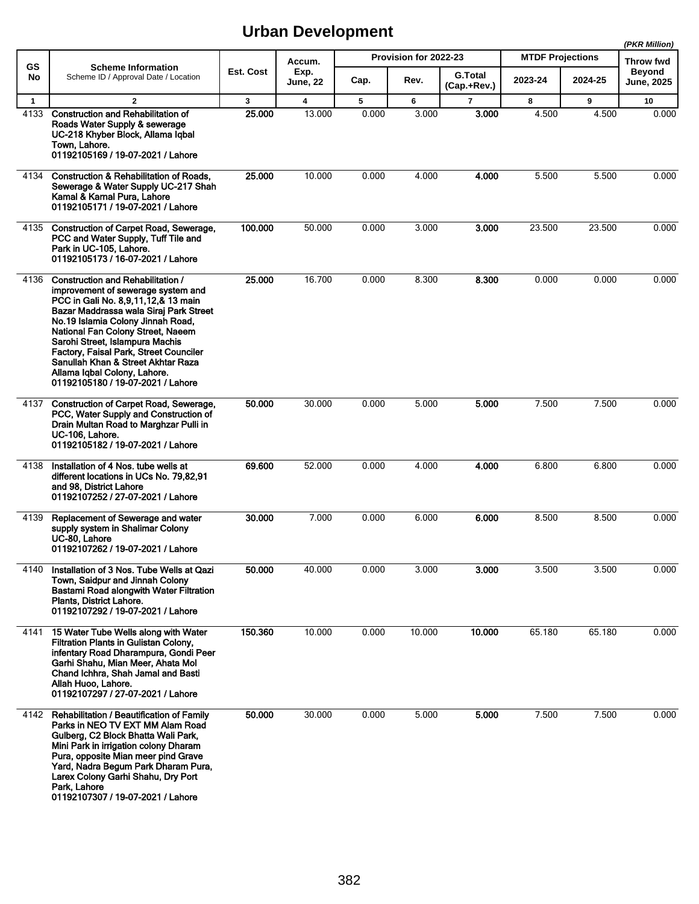|              |                                                                                                                                                                                                                                                                                                                                                                                                                            |           |                         |       |                       |                               |                         |         | (PKR Million)              |
|--------------|----------------------------------------------------------------------------------------------------------------------------------------------------------------------------------------------------------------------------------------------------------------------------------------------------------------------------------------------------------------------------------------------------------------------------|-----------|-------------------------|-------|-----------------------|-------------------------------|-------------------------|---------|----------------------------|
| <b>GS</b>    | <b>Scheme Information</b>                                                                                                                                                                                                                                                                                                                                                                                                  | Est. Cost | Accum.<br>Exp.          |       | Provision for 2022-23 |                               | <b>MTDF Projections</b> |         | Throw fwd<br><b>Beyond</b> |
| No           | Scheme ID / Approval Date / Location                                                                                                                                                                                                                                                                                                                                                                                       |           | June, 22                | Cap.  | Rev.                  | <b>G.Total</b><br>(Cap.+Rev.) | 2023-24                 | 2024-25 | <b>June, 2025</b>          |
| $\mathbf{1}$ | $\overline{2}$                                                                                                                                                                                                                                                                                                                                                                                                             | 3         | $\overline{\mathbf{4}}$ | 5     | 6                     | $\overline{7}$                | 8                       | 9       | 10                         |
| 4133         | <b>Construction and Rehabilitation of</b><br>Roads Water Supply & sewerage<br>UC-218 Khyber Block, Allama Iqbal<br>Town, Lahore.<br>01192105169 / 19-07-2021 / Lahore                                                                                                                                                                                                                                                      | 25.000    | 13.000                  | 0.000 | 3.000                 | 3.000                         | 4.500                   | 4.500   | 0.000                      |
| 4134         | Construction & Rehabilitation of Roads,<br>Sewerage & Water Supply UC-217 Shah<br>Kamal & Karnal Pura, Lahore<br>01192105171 / 19-07-2021 / Lahore                                                                                                                                                                                                                                                                         | 25.000    | 10.000                  | 0.000 | 4.000                 | 4.000                         | 5.500                   | 5.500   | 0.000                      |
| 4135         | Construction of Carpet Road, Sewerage,<br>PCC and Water Supply, Tuff Tile and<br>Park in UC-105, Lahore.<br>01192105173 / 16-07-2021 / Lahore                                                                                                                                                                                                                                                                              | 100.000   | 50.000                  | 0.000 | 3.000                 | 3.000                         | 23.500                  | 23.500  | 0.000                      |
| 4136         | Construction and Rehabilitation /<br>improvement of sewerage system and<br>PCC in Gali No. 8,9,11,12,& 13 main<br>Bazar Maddrassa wala Siraj Park Street<br>No.19 Islamia Colony Jinnah Road,<br>National Fan Colony Street, Naeem<br>Sarohi Street, Islampura Machis<br>Factory, Faisal Park, Street Counciler<br>Sanullah Khan & Street Akhtar Raza<br>Allama Iqbal Colony, Lahore.<br>01192105180 / 19-07-2021 / Lahore | 25.000    | 16.700                  | 0.000 | 8.300                 | 8.300                         | 0.000                   | 0.000   | 0.000                      |
| 4137         | Construction of Carpet Road, Sewerage,<br>PCC, Water Supply and Construction of<br>Drain Multan Road to Marghzar Pulli in<br>UC-106, Lahore.<br>01192105182 / 19-07-2021 / Lahore                                                                                                                                                                                                                                          | 50.000    | 30.000                  | 0.000 | 5.000                 | 5.000                         | 7.500                   | 7.500   | 0.000                      |
| 4138         | Installation of 4 Nos. tube wells at<br>different locations in UCs No. 79,82,91<br>and 98, District Lahore<br>01192107252 / 27-07-2021 / Lahore                                                                                                                                                                                                                                                                            | 69.600    | 52.000                  | 0.000 | 4.000                 | 4.000                         | 6.800                   | 6.800   | 0.000                      |
| 4139         | Replacement of Sewerage and water<br>supply system in Shalimar Colony<br>UC-80, Lahore<br>01192107262 / 19-07-2021 / Lahore                                                                                                                                                                                                                                                                                                | 30.000    | 7.000                   | 0.000 | 6.000                 | 6.000                         | 8.500                   | 8.500   | 0.000                      |
| 4140         | Installation of 3 Nos. Tube Wells at Qazi<br>Town, Saidpur and Jinnah Colony<br>Bastami Road alongwith Water Filtration<br>Plants, District Lahore.<br>01192107292 / 19-07-2021 / Lahore                                                                                                                                                                                                                                   | 50.000    | 40.000                  | 0.000 | 3.000                 | 3.000                         | 3.500                   | 3.500   | 0.000                      |
| 4141         | 15 Water Tube Wells along with Water<br>Filtration Plants in Gulistan Colony,<br>infentary Road Dharampura, Gondi Peer<br>Garhi Shahu, Mian Meer, Ahata Mol<br>Chand Ichhra, Shah Jamal and Basti<br>Allah Huoo, Lahore.<br>01192107297 / 27-07-2021 / Lahore                                                                                                                                                              | 150.360   | 10.000                  | 0.000 | 10.000                | 10.000                        | 65.180                  | 65.180  | 0.000                      |
| 4142         | Rehabilitation / Beautification of Family<br>Parks in NEO TV EXT MM Alam Road<br>Gulberg, C2 Block Bhatta Wali Park,<br>Mini Park in irrigation colony Dharam<br>Pura, opposite Mian meer pind Grave<br>Yard, Nadra Begum Park Dharam Pura,<br>Larex Colony Garhi Shahu, Dry Port<br>Park, Lahore<br>01192107307 / 19-07-2021 / Lahore                                                                                     | 50.000    | 30.000                  | 0.000 | 5.000                 | 5.000                         | 7.500                   | 7.500   | 0.000                      |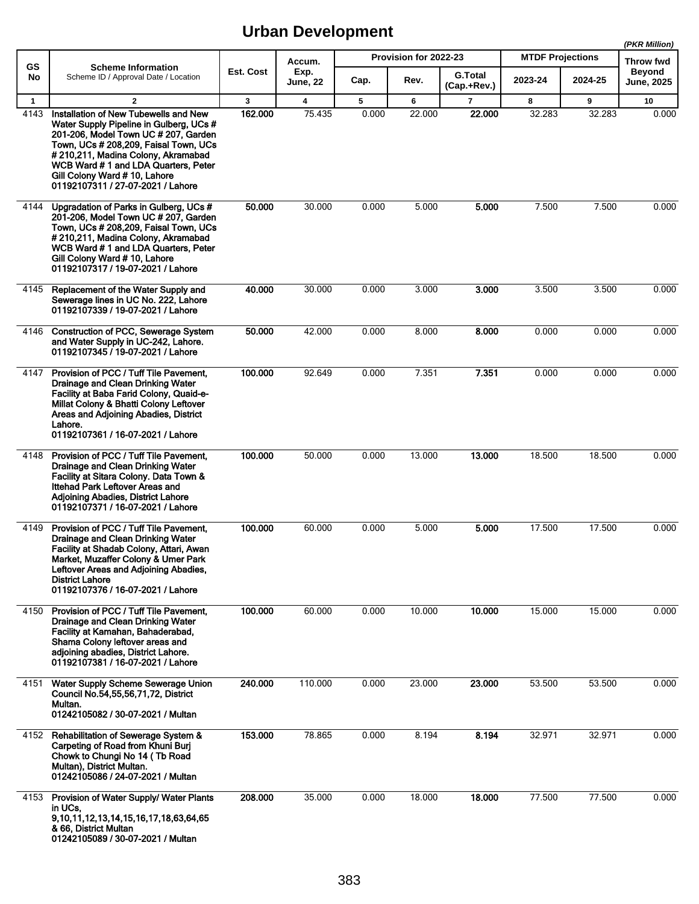|              |                                                                                                                                                                                                                                                                                                                     |           |                         |       |                       |                               |                         |         | (PKR Million)              |
|--------------|---------------------------------------------------------------------------------------------------------------------------------------------------------------------------------------------------------------------------------------------------------------------------------------------------------------------|-----------|-------------------------|-------|-----------------------|-------------------------------|-------------------------|---------|----------------------------|
| <b>GS</b>    | <b>Scheme Information</b>                                                                                                                                                                                                                                                                                           | Est. Cost | Accum.                  |       | Provision for 2022-23 |                               | <b>MTDF Projections</b> |         | Throw fwd<br><b>Beyond</b> |
| No           | Scheme ID / Approval Date / Location                                                                                                                                                                                                                                                                                |           | Exp.<br><b>June, 22</b> | Cap.  | Rev.                  | <b>G.Total</b><br>(Cap.+Rev.) | 2023-24                 | 2024-25 | <b>June, 2025</b>          |
| $\mathbf{1}$ | $\overline{2}$                                                                                                                                                                                                                                                                                                      | 3         | $\overline{\mathbf{4}}$ | 5     | 6                     | $\overline{7}$                | 8                       | 9       | 10                         |
| 4143         | Installation of New Tubewells and New<br>Water Supply Pipeline in Gulberg, UCs #<br>201-206, Model Town UC # 207, Garden<br>Town, UCs # 208,209, Faisal Town, UCs<br>#210,211, Madina Colony, Akramabad<br>WCB Ward #1 and LDA Quarters, Peter<br>Gill Colony Ward #10, Lahore<br>01192107311 / 27-07-2021 / Lahore | 162.000   | 75.435                  | 0.000 | 22.000                | 22.000                        | 32.283                  | 32.283  | 0.000                      |
| 4144         | Upgradation of Parks in Gulberg, UCs #<br>201-206, Model Town UC # 207, Garden<br>Town, UCs # 208,209, Faisal Town, UCs<br>#210,211, Madina Colony, Akramabad<br>WCB Ward #1 and LDA Quarters, Peter<br>Gill Colony Ward #10, Lahore<br>01192107317 / 19-07-2021 / Lahore                                           | 50.000    | 30.000                  | 0.000 | 5.000                 | 5.000                         | 7.500                   | 7.500   | 0.000                      |
| 4145         | Replacement of the Water Supply and<br>Sewerage lines in UC No. 222, Lahore<br>01192107339 / 19-07-2021 / Lahore                                                                                                                                                                                                    | 40.000    | 30.000                  | 0.000 | 3.000                 | 3.000                         | 3.500                   | 3.500   | 0.000                      |
| 4146         | Construction of PCC, Sewerage System<br>and Water Supply in UC-242, Lahore.<br>01192107345 / 19-07-2021 / Lahore                                                                                                                                                                                                    | 50.000    | 42.000                  | 0.000 | 8.000                 | 8.000                         | 0.000                   | 0.000   | 0.000                      |
| 4147         | Provision of PCC / Tuff Tile Pavement.<br>Drainage and Clean Drinking Water<br>Facility at Baba Farid Colony, Quaid-e-<br>Millat Colony & Bhatti Colony Leftover<br>Areas and Adjoining Abadies, District<br>Lahore.<br>01192107361 / 16-07-2021 / Lahore                                                           | 100.000   | 92.649                  | 0.000 | 7.351                 | 7.351                         | 0.000                   | 0.000   | 0.000                      |
| 4148         | Provision of PCC / Tuff Tile Pavement.<br>Drainage and Clean Drinking Water<br>Facility at Sitara Colony. Data Town &<br>Ittehad Park Leftover Areas and<br>Adioining Abadies, District Lahore<br>01192107371 / 16-07-2021 / Lahore                                                                                 | 100.000   | 50.000                  | 0.000 | 13.000                | 13.000                        | 18.500                  | 18.500  | 0.000                      |
| 4149         | Provision of PCC / Tuff Tile Pavement,<br>Drainage and Clean Drinking Water<br>Facility at Shadab Colony, Attari, Awan<br>Market, Muzaffer Colony & Umer Park<br>Leftover Areas and Adjoining Abadies,<br><b>District Lahore</b><br>01192107376 / 16-07-2021 / Lahore                                               | 100.000   | 60.000                  | 0.000 | 5.000                 | 5.000                         | 17.500                  | 17.500  | 0.000                      |
| 4150         | Provision of PCC / Tuff Tile Pavement,<br>Drainage and Clean Drinking Water<br>Facility at Kamahan, Bahaderabad,<br>Shama Colony leftover areas and<br>adjoining abadies, District Lahore.<br>01192107381 / 16-07-2021 / Lahore                                                                                     | 100.000   | 60.000                  | 0.000 | 10.000                | 10.000                        | 15.000                  | 15.000  | 0.000                      |
| 4151         | Water Supply Scheme Sewerage Union<br>Council No.54,55,56,71,72, District<br>Multan.<br>01242105082 / 30-07-2021 / Multan                                                                                                                                                                                           | 240.000   | 110.000                 | 0.000 | 23.000                | 23.000                        | 53.500                  | 53.500  | 0.000                      |
|              | 4152 Rehabilitation of Sewerage System &<br>Carpeting of Road from Khuni Burj<br>Chowk to Chungi No 14 (Tb Road<br>Multan), District Multan.<br>01242105086 / 24-07-2021 / Multan                                                                                                                                   | 153.000   | 78.865                  | 0.000 | 8.194                 | 8.194                         | 32.971                  | 32.971  | 0.000                      |
| 4153         | Provision of Water Supply/ Water Plants<br>in UCs.<br>9, 10, 11, 12, 13, 14, 15, 16, 17, 18, 63, 64, 65<br>& 66, District Multan<br>01242105089 / 30-07-2021 / Multan                                                                                                                                               | 208.000   | 35.000                  | 0.000 | 18.000                | 18.000                        | 77.500                  | 77.500  | 0.000                      |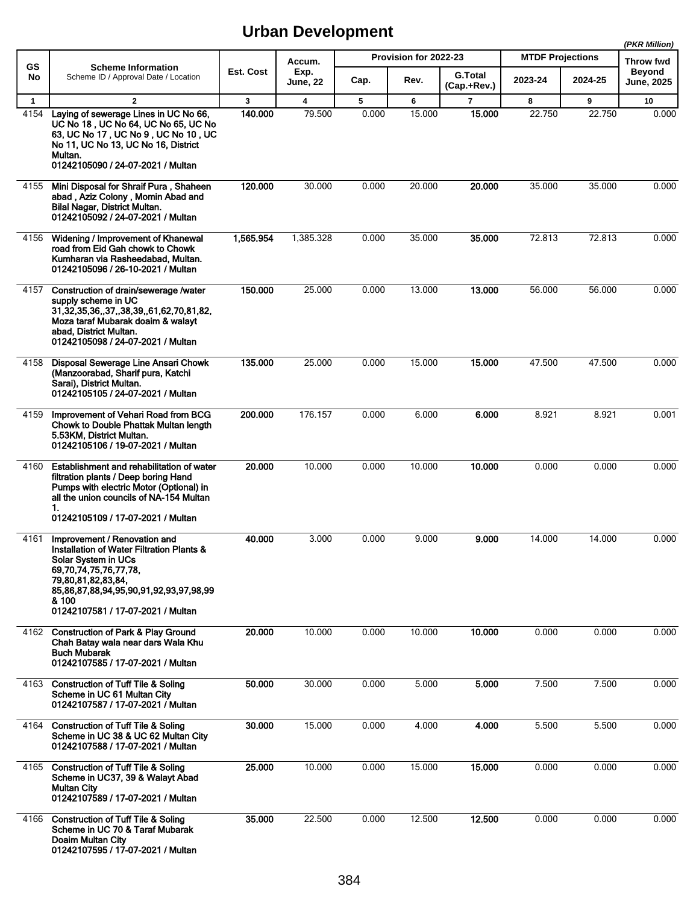|                      |                                                                                                                                                                                                                                         |                         |                                   |            |                       |                               |                         |             | (PKR Million)              |
|----------------------|-----------------------------------------------------------------------------------------------------------------------------------------------------------------------------------------------------------------------------------------|-------------------------|-----------------------------------|------------|-----------------------|-------------------------------|-------------------------|-------------|----------------------------|
| <b>GS</b>            | <b>Scheme Information</b>                                                                                                                                                                                                               | Est. Cost               | Accum.<br>Exp.                    |            | Provision for 2022-23 |                               | <b>MTDF Projections</b> |             | Throw fwd<br><b>Beyond</b> |
| No                   | Scheme ID / Approval Date / Location                                                                                                                                                                                                    |                         | <b>June, 22</b>                   | Cap.       | Rev.                  | <b>G.Total</b><br>(Cap.+Rev.) | 2023-24                 | 2024-25     | <b>June, 2025</b>          |
| $\mathbf{1}$<br>4154 | $\overline{2}$<br>Laying of sewerage Lines in UC No 66,<br>UC No 18, UC No 64, UC No 65, UC No<br>63, UC No 17, UC No 9, UC No 10, UC<br>No 11, UC No 13, UC No 16, District<br>Multan.<br>01242105090 / 24-07-2021 / Multan            | $\mathbf{3}$<br>140.000 | $\overline{\mathbf{4}}$<br>79.500 | 5<br>0.000 | 6<br>15.000           | $\overline{7}$<br>15.000      | 8<br>22.750             | 9<br>22.750 | 10<br>0.000                |
| 4155                 | Mini Disposal for Shraif Pura, Shaheen<br>abad, Aziz Colony, Momin Abad and<br>Bilal Nagar, District Multan.<br>01242105092 / 24-07-2021 / Multan                                                                                       | 120.000                 | 30.000                            | 0.000      | 20.000                | 20.000                        | 35.000                  | 35.000      | 0.000                      |
| 4156                 | Widening / Improvement of Khanewal<br>road from Eid Gah chowk to Chowk<br>Kumharan via Rasheedabad, Multan.<br>01242105096 / 26-10-2021 / Multan                                                                                        | 1,565.954               | 1,385.328                         | 0.000      | 35.000                | 35,000                        | 72.813                  | 72.813      | 0.000                      |
| 4157                 | Construction of drain/sewerage /water<br>supply scheme in UC<br>31, 32, 35, 36, , 37, , 38, 39, , 61, 62, 70, 81, 82,<br>Moza taraf Mubarak doaim & walayt<br>abad, District Multan.<br>01242105098 / 24-07-2021 / Multan               | 150,000                 | 25.000                            | 0.000      | 13.000                | 13.000                        | 56.000                  | 56.000      | 0.000                      |
| 4158                 | Disposal Sewerage Line Ansari Chowk<br>(Manzoorabad, Sharif pura, Katchi<br>Sarai), District Multan.<br>01242105105 / 24-07-2021 / Multan                                                                                               | 135.000                 | 25.000                            | 0.000      | 15.000                | 15.000                        | 47.500                  | 47.500      | 0.000                      |
| 4159                 | Improvement of Vehari Road from BCG<br>Chowk to Double Phattak Multan length<br>5.53KM, District Multan.<br>01242105106 / 19-07-2021 / Multan                                                                                           | 200.000                 | 176.157                           | 0.000      | 6.000                 | 6.000                         | 8.921                   | 8.921       | 0.001                      |
| 4160                 | Establishment and rehabilitation of water<br>filtration plants / Deep boring Hand<br>Pumps with electric Motor (Optional) in<br>all the union councils of NA-154 Multan<br>1.<br>01242105109 / 17-07-2021 / Multan                      | 20,000                  | 10.000                            | 0.000      | 10.000                | 10.000                        | 0.000                   | 0.000       | 0.000                      |
| 4161                 | Improvement / Renovation and<br>Installation of Water Filtration Plants &<br>Solar System in UCs<br>69,70,74,75,76,77,78,<br>79,80,81,82,83,84,<br>85,86,87,88,94,95,90,91,92,93,97,98,99<br>& 100<br>01242107581 / 17-07-2021 / Multan | 40.000                  | 3.000                             | 0.000      | 9.000                 | 9.000                         | 14.000                  | 14.000      | 0.000                      |
| 4162                 | <b>Construction of Park &amp; Play Ground</b><br>Chah Batay wala near dars Wala Khu<br><b>Buch Mubarak</b><br>01242107585 / 17-07-2021 / Multan                                                                                         | 20,000                  | 10.000                            | 0.000      | 10.000                | 10.000                        | 0.000                   | 0.000       | 0.000                      |
| 4163                 | <b>Construction of Tuff Tile &amp; Soling</b><br>Scheme in UC 61 Multan City<br>01242107587 / 17-07-2021 / Multan                                                                                                                       | 50.000                  | 30.000                            | 0.000      | 5.000                 | 5.000                         | 7.500                   | 7.500       | 0.000                      |
| 4164                 | <b>Construction of Tuff Tile &amp; Soling</b><br>Scheme in UC 38 & UC 62 Multan City<br>01242107588 / 17-07-2021 / Multan                                                                                                               | 30.000                  | 15.000                            | 0.000      | 4.000                 | 4.000                         | 5.500                   | 5.500       | 0.000                      |
| 4165                 | <b>Construction of Tuff Tile &amp; Soling</b><br>Scheme in UC37, 39 & Walayt Abad<br><b>Multan City</b><br>01242107589 / 17-07-2021 / Multan                                                                                            | 25.000                  | 10.000                            | 0.000      | 15.000                | 15.000                        | 0.000                   | 0.000       | 0.000                      |
| 4166                 | <b>Construction of Tuff Tile &amp; Soling</b><br>Scheme in UC 70 & Taraf Mubarak<br>Doaim Multan City<br>01242107595 / 17-07-2021 / Multan                                                                                              | 35.000                  | 22.500                            | 0.000      | 12.500                | 12.500                        | 0.000                   | 0.000       | 0.000                      |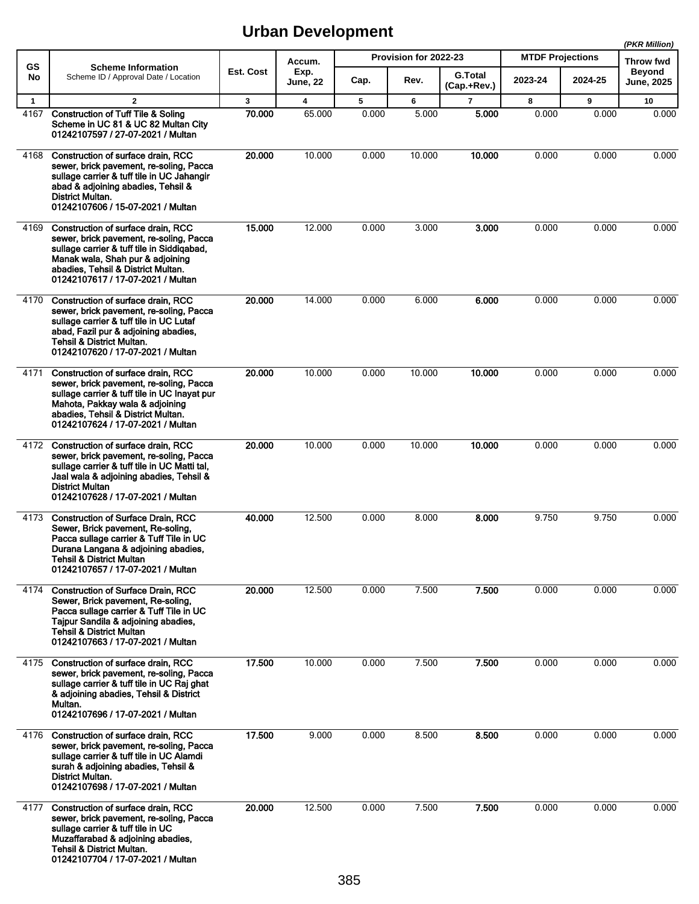|                      |                                                                                                                                                                                                                                               |             |                                   |            |                       |                         |                         |            | (PKR Million)                     |
|----------------------|-----------------------------------------------------------------------------------------------------------------------------------------------------------------------------------------------------------------------------------------------|-------------|-----------------------------------|------------|-----------------------|-------------------------|-------------------------|------------|-----------------------------------|
| GS<br>No             | <b>Scheme Information</b><br>Scheme ID / Approval Date / Location                                                                                                                                                                             | Est. Cost   | Accum.<br>Exp.                    |            | Provision for 2022-23 | <b>G.Total</b>          | <b>MTDF Projections</b> |            | <b>Throw fwd</b><br><b>Beyond</b> |
|                      |                                                                                                                                                                                                                                               |             | <b>June, 22</b>                   | Cap.       | Rev.                  | (Cap.+Rev.)             | 2023-24                 | 2024-25    | <b>June, 2025</b>                 |
| $\mathbf{1}$<br>4167 | $\overline{2}$<br><b>Construction of Tuff Tile &amp; Soling</b><br>Scheme in UC 81 & UC 82 Multan City<br>01242107597 / 27-07-2021 / Multan                                                                                                   | 3<br>70.000 | $\overline{\mathbf{4}}$<br>65.000 | 5<br>0.000 | 6<br>5.000            | $\overline{7}$<br>5.000 | 8<br>0.000              | 9<br>0.000 | 10<br>0.000                       |
| 4168                 | Construction of surface drain, RCC<br>sewer, brick pavement, re-soling, Pacca<br>sullage carrier & tuff tile in UC Jahangir<br>abad & adjoining abadies, Tehsil &<br>District Multan.<br>01242107606 / 15-07-2021 / Multan                    | 20.000      | 10.000                            | 0.000      | 10.000                | 10.000                  | 0.000                   | 0.000      | 0.000                             |
| 4169                 | Construction of surface drain, RCC<br>sewer, brick pavement, re-soling, Pacca<br>sullage carrier & tuff tile in Siddigabad,<br>Manak wala, Shah pur & adjoining<br>abadies, Tehsil & District Multan.<br>01242107617 / 17-07-2021 / Multan    | 15.000      | 12.000                            | 0.000      | 3.000                 | 3.000                   | 0.000                   | 0.000      | 0.000                             |
| 4170                 | Construction of surface drain, RCC<br>sewer, brick pavement, re-soling, Pacca<br>sullage carrier & tuff tile in UC Lutaf<br>abad, Fazil pur & adjoining abadies,<br><b>Tehsil &amp; District Multan.</b><br>01242107620 / 17-07-2021 / Multan | 20.000      | 14.000                            | 0.000      | 6.000                 | 6.000                   | 0.000                   | 0.000      | 0.000                             |
| 4171                 | Construction of surface drain, RCC<br>sewer, brick pavement, re-soling, Pacca<br>sullage carrier & tuff tile in UC Inayat pur<br>Mahota, Pakkay wala & adjoining<br>abadies, Tehsil & District Multan.<br>01242107624 / 17-07-2021 / Multan   | 20.000      | 10.000                            | 0.000      | 10.000                | 10.000                  | 0.000                   | 0.000      | 0.000                             |
|                      | 4172 Construction of surface drain, RCC<br>sewer, brick pavement, re-soling, Pacca<br>sullage carrier & tuff tile in UC Matti tal,<br>Jaal wala & adjoining abadies, Tehsil &<br><b>District Multan</b><br>01242107628 / 17-07-2021 / Multan  | 20.000      | 10.000                            | 0.000      | 10.000                | 10.000                  | 0.000                   | 0.000      | 0.000                             |
| 4173                 | <b>Construction of Surface Drain, RCC</b><br>Sewer, Brick pavement, Re-soling,<br>Pacca sullage carrier & Tuff Tile in UC<br>Durana Langana & adjoining abadies,<br><b>Tehsil &amp; District Multan</b><br>01242107657 / 17-07-2021 / Multan  | 40.000      | 12.500                            | 0.000      | 8.000                 | 8.000                   | 9.750                   | 9.750      | 0.000                             |
| 4174                 | <b>Construction of Surface Drain, RCC</b><br>Sewer, Brick pavement, Re-soling,<br>Pacca sullage carrier & Tuff Tile in UC<br>Tajpur Sandila & adjoining abadies,<br><b>Tehsil &amp; District Multan</b><br>01242107663 / 17-07-2021 / Multan  | 20.000      | 12.500                            | 0.000      | 7.500                 | 7.500                   | 0.000                   | 0.000      | 0.000                             |
| 4175                 | Construction of surface drain, RCC<br>sewer, brick pavement, re-soling, Pacca<br>sullage carrier & tuff tile in UC Raj ghat<br>& adjoining abadies, Tehsil & District<br>Multan.<br>01242107696 / 17-07-2021 / Multan                         | 17.500      | 10.000                            | 0.000      | 7.500                 | 7.500                   | 0.000                   | 0.000      | 0.000                             |
| 4176                 | Construction of surface drain, RCC<br>sewer, brick pavement, re-soling, Pacca<br>sullage carrier & tuff tile in UC Alamdi<br>surah & adjoining abadies, Tehsil &<br>District Multan.<br>01242107698 / 17-07-2021 / Multan                     | 17.500      | 9.000                             | 0.000      | 8.500                 | 8.500                   | 0.000                   | 0.000      | 0.000                             |
| 4177                 | Construction of surface drain, RCC<br>sewer, brick pavement, re-soling, Pacca<br>sullage carrier & tuff tile in UC<br>Muzaffarabad & adjoining abadies,<br><b>Tehsil &amp; District Multan.</b><br>01242107704 / 17-07-2021 / Multan          | 20.000      | 12.500                            | 0.000      | 7.500                 | 7.500                   | 0.000                   | 0.000      | 0.000                             |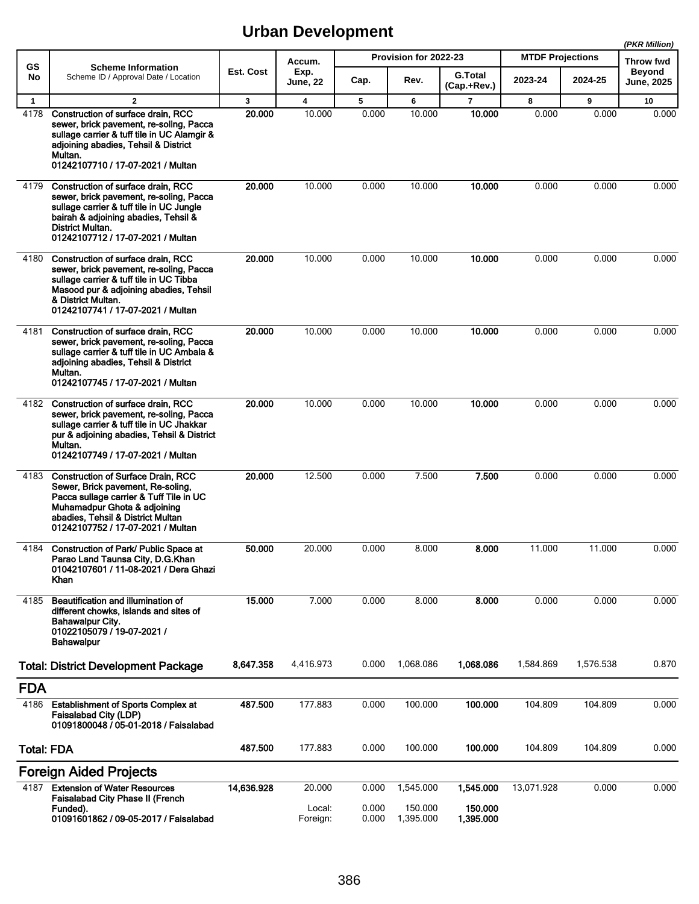|                   |                                                                                                                                                                                                                                     |              |                         |                |                       |                               |                         |           | (PKR Million)               |
|-------------------|-------------------------------------------------------------------------------------------------------------------------------------------------------------------------------------------------------------------------------------|--------------|-------------------------|----------------|-----------------------|-------------------------------|-------------------------|-----------|-----------------------------|
| <b>GS</b>         | <b>Scheme Information</b>                                                                                                                                                                                                           |              | Accum.                  |                | Provision for 2022-23 |                               | <b>MTDF Projections</b> |           | <b>Throw fwd</b>            |
| No                | Scheme ID / Approval Date / Location                                                                                                                                                                                                | Est. Cost    | Exp.<br><b>June, 22</b> | Cap.           | Rev.                  | <b>G.Total</b><br>(Cap.+Rev.) | 2023-24                 | 2024-25   | Beyond<br><b>June, 2025</b> |
| $\mathbf{1}$      | $\overline{2}$                                                                                                                                                                                                                      | $\mathbf{3}$ | $\overline{\mathbf{4}}$ | 5              | 6                     | $\overline{7}$                | 8                       | 9         | 10                          |
| 4178              | Construction of surface drain, RCC<br>sewer, brick pavement, re-soling, Pacca<br>sullage carrier & tuff tile in UC Alamgir &<br>adjoining abadies, Tehsil & District<br>Multan.<br>01242107710 / 17-07-2021 / Multan                | 20.000       | 10.000                  | 0.000          | 10.000                | 10.000                        | 0.000                   | 0.000     | 0.000                       |
| 4179              | Construction of surface drain. RCC<br>sewer, brick pavement, re-soling, Pacca<br>sullage carrier & tuff tile in UC Jungle<br>bairah & adjoining abadies, Tehsil &<br>District Multan.<br>01242107712 / 17-07-2021 / Multan          | 20,000       | 10.000                  | 0.000          | 10.000                | 10.000                        | 0.000                   | 0.000     | 0.000                       |
| 4180              | Construction of surface drain, RCC<br>sewer, brick pavement, re-soling, Pacca<br>sullage carrier & tuff tile in UC Tibba<br>Masood pur & adjoining abadies, Tehsil<br>& District Multan.<br>01242107741 / 17-07-2021 / Multan       | 20.000       | 10.000                  | 0.000          | 10.000                | 10.000                        | 0.000                   | 0.000     | 0.000                       |
| 4181              | Construction of surface drain, RCC<br>sewer, brick pavement, re-soling, Pacca<br>sullage carrier & tuff tile in UC Ambala &<br>adjoining abadies, Tehsil & District<br>Multan.<br>01242107745 / 17-07-2021 / Multan                 | 20.000       | 10.000                  | 0.000          | 10.000                | 10.000                        | 0.000                   | 0.000     | 0.000                       |
| 4182              | Construction of surface drain, RCC<br>sewer, brick pavement, re-soling, Pacca<br>sullage carrier & tuff tile in UC Jhakkar<br>pur & adjoining abadies, Tehsil & District<br>Multan.<br>01242107749 / 17-07-2021 / Multan            | 20,000       | 10.000                  | 0.000          | 10.000                | 10.000                        | 0.000                   | 0.000     | 0.000                       |
| 4183              | <b>Construction of Surface Drain, RCC</b><br>Sewer, Brick pavement, Re-soling,<br>Pacca sullage carrier & Tuff Tile in UC<br>Muhamadpur Ghota & adjoining<br>abadies. Tehsil & District Multan<br>01242107752 / 17-07-2021 / Multan | 20.000       | 12.500                  | 0.000          | 7.500                 | 7.500                         | 0.000                   | 0.000     | 0.000                       |
| 4184              | Construction of Park/ Public Space at<br>Parao Land Taunsa City, D.G.Khan<br>01042107601 / 11-08-2021 / Dera Ghazi<br>Khan                                                                                                          | 50.000       | 20.000                  | 0.000          | 8.000                 | 8.000                         | 11.000                  | 11.000    | 0.000                       |
| 4185              | Beautification and illumination of<br>different chowks, islands and sites of<br>Bahawalpur City.<br>01022105079 / 19-07-2021 /<br><b>Bahawalpur</b>                                                                                 | 15.000       | 7.000                   | 0.000          | 8.000                 | 8.000                         | 0.000                   | 0.000     | 0.000                       |
|                   | <b>Total: District Development Package</b>                                                                                                                                                                                          | 8,647.358    | 4,416.973               | 0.000          | 1,068.086             | 1,068.086                     | 1,584.869               | 1,576.538 | 0.870                       |
| <b>FDA</b>        |                                                                                                                                                                                                                                     |              |                         |                |                       |                               |                         |           |                             |
| 4186              | <b>Establishment of Sports Complex at</b><br><b>Faisalabad City (LDP)</b><br>01091800048 / 05-01-2018 / Faisalabad                                                                                                                  | 487.500      | 177.883                 | 0.000          | 100.000               | 100.000                       | 104.809                 | 104.809   | 0.000                       |
| <b>Total: FDA</b> |                                                                                                                                                                                                                                     | 487.500      | 177.883                 | 0.000          | 100.000               | 100.000                       | 104.809                 | 104.809   | 0.000                       |
|                   | <b>Foreign Aided Projects</b>                                                                                                                                                                                                       |              |                         |                |                       |                               |                         |           |                             |
| 4187              | <b>Extension of Water Resources</b><br>Faisalabad City Phase II (French                                                                                                                                                             | 14,636.928   | 20.000                  | 0.000          | 1,545.000             | 1,545.000                     | 13,071.928              | 0.000     | 0.000                       |
|                   | Funded).<br>01091601862 / 09-05-2017 / Faisalabad                                                                                                                                                                                   |              | Local:<br>Foreign:      | 0.000<br>0.000 | 150.000<br>1,395.000  | 150.000<br>1,395.000          |                         |           |                             |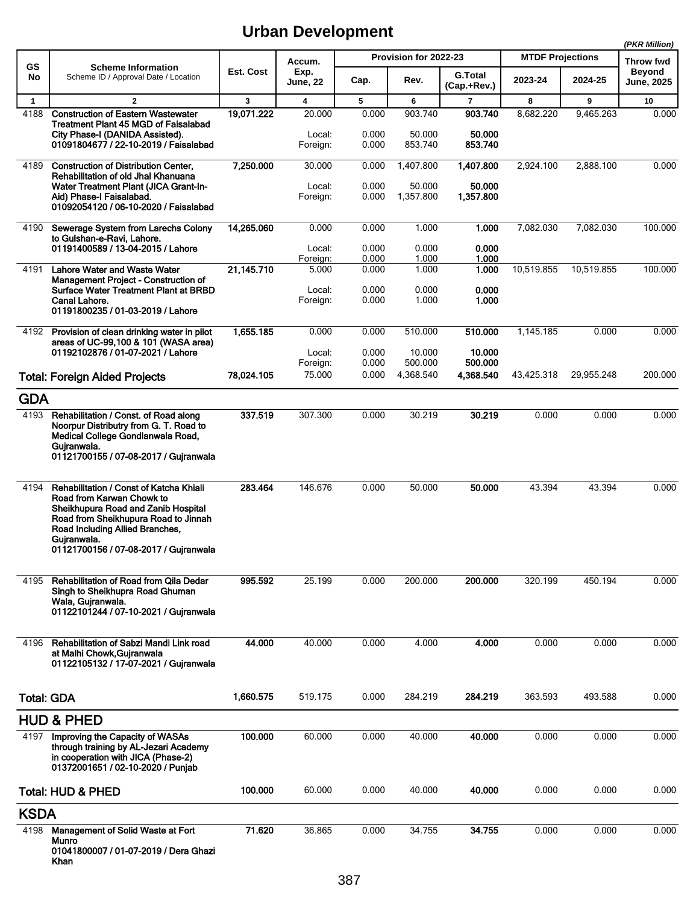**(PKR Million)**

|                   |                                                                                                                                                                                                                                                |            |                              |                         |                              |                              |                         |            | (PKR WIIIION)                     |
|-------------------|------------------------------------------------------------------------------------------------------------------------------------------------------------------------------------------------------------------------------------------------|------------|------------------------------|-------------------------|------------------------------|------------------------------|-------------------------|------------|-----------------------------------|
| GS                | <b>Scheme Information</b><br>Scheme ID / Approval Date / Location                                                                                                                                                                              | Est. Cost  | Accum.<br>Exp.               |                         | Provision for 2022-23        | <b>G.Total</b>               | <b>MTDF Projections</b> |            | <b>Throw fwd</b><br><b>Beyond</b> |
| No                |                                                                                                                                                                                                                                                |            | <b>June, 22</b>              | Cap.                    | Rev.                         | (Cap.+Rev.)                  | 2023-24                 | 2024-25    | June, 2025                        |
| $\mathbf{1}$      | $\mathbf{2}$                                                                                                                                                                                                                                   | 3          | 4                            | 5                       | 6                            | 7                            | 8                       | 9          | 10                                |
| 4188              | <b>Construction of Eastern Wastewater</b><br><b>Treatment Plant 45 MGD of Faisalabad</b><br>City Phase-I (DANIDA Assisted).<br>01091804677 / 22-10-2019 / Faisalabad                                                                           | 19,071.222 | 20.000<br>Local:<br>Foreign: | 0.000<br>0.000<br>0.000 | 903.740<br>50.000<br>853.740 | 903.740<br>50.000<br>853.740 | 8,682.220               | 9,465.263  | 0.000                             |
| 4189              | <b>Construction of Distribution Center.</b><br>Rehabilitation of old Jhal Khanuana<br><b>Water Treatment Plant (JICA Grant-In-</b>                                                                                                             | 7,250.000  | 30.000<br>Local:             | 0.000<br>0.000          | 1.407.800<br>50.000          | 1.407.800<br>50.000          | 2,924.100               | 2.888.100  | 0.000                             |
|                   | Aid) Phase-I Faisalabad.<br>01092054120 / 06-10-2020 / Faisalabad                                                                                                                                                                              |            | Foreign:                     | 0.000                   | 1,357.800                    | 1,357.800                    |                         |            |                                   |
| 4190              | Sewerage System from Larechs Colony<br>to Gulshan-e-Ravi, Lahore.                                                                                                                                                                              | 14,265.060 | 0.000                        | 0.000                   | 1.000                        | 1.000                        | 7,082.030               | 7,082.030  | 100.000                           |
|                   | 01191400589 / 13-04-2015 / Lahore                                                                                                                                                                                                              |            | Local:<br>Foreign:           | 0.000<br>0.000          | 0.000<br>1.000               | 0.000<br>1.000               |                         |            |                                   |
| 4191              | <b>Lahore Water and Waste Water</b>                                                                                                                                                                                                            | 21,145.710 | 5.000                        | 0.000                   | 1.000                        | 1.000                        | 10,519.855              | 10,519.855 | 100.000                           |
|                   | Management Project - Construction of<br>Surface Water Treatment Plant at BRBD<br>Canal Lahore.<br>01191800235 / 01-03-2019 / Lahore                                                                                                            |            | Local:<br>Foreign:           | 0.000<br>0.000          | 0.000<br>1.000               | 0.000<br>1.000               |                         |            |                                   |
| 4192              | Provision of clean drinking water in pilot                                                                                                                                                                                                     | 1,655.185  | 0.000                        | 0.000                   | 510.000                      | 510.000                      | 1,145.185               | 0.000      | 0.000                             |
|                   | areas of UC-99,100 & 101 (WASA area)<br>01192102876 / 01-07-2021 / Lahore                                                                                                                                                                      |            | Local:<br>Foreign:           | 0.000<br>0.000          | 10.000<br>500.000            | 10.000<br>500.000            |                         |            |                                   |
|                   | <b>Total: Foreign Aided Projects</b>                                                                                                                                                                                                           | 78.024.105 | 75.000                       | 0.000                   | 4,368.540                    | 4,368.540                    | 43,425.318              | 29,955.248 | 200.000                           |
| <b>GDA</b>        |                                                                                                                                                                                                                                                |            |                              |                         |                              |                              |                         |            |                                   |
|                   | 4193 Rehabilitation / Const. of Road along                                                                                                                                                                                                     | 337.519    | 307.300                      | 0.000                   | 30.219                       | 30.219                       | 0.000                   | 0.000      | 0.000                             |
|                   | Noorpur Distributry from G. T. Road to<br>Medical College Gondlanwala Road,<br>Gujranwala.<br>01121700155 / 07-08-2017 / Gujranwala                                                                                                            |            |                              |                         |                              |                              |                         |            |                                   |
| 4194              | Rehabilitation / Const of Katcha Khiali<br>Road from Karwan Chowk to<br>Sheikhupura Road and Zanib Hospital<br>Road from Sheikhupura Road to Jinnah<br>Road Including Allied Branches,<br>Gujranwala.<br>01121700156 / 07-08-2017 / Gujranwala | 283.464    | 146.676                      | 0.000                   | 50.000                       | 50.000                       | 43.394                  | 43.394     | 0.000                             |
| 4195              | Rehabilitation of Road from Qila Dedar<br>Singh to Sheikhupra Road Ghuman<br>Wala, Gujranwala.<br>01122101244 / 07-10-2021 / Gujranwala                                                                                                        | 995.592    | 25.199                       | 0.000                   | 200.000                      | 200.000                      | 320.199                 | 450.194    | 0.000                             |
| 4196              | Rehabilitation of Sabzi Mandi Link road<br>at Malhi Chowk, Gujranwala<br>01122105132 / 17-07-2021 / Guiranwala                                                                                                                                 | 44.000     | 40.000                       | 0.000                   | 4.000                        | 4.000                        | 0.000                   | 0.000      | 0.000                             |
| <b>Total: GDA</b> |                                                                                                                                                                                                                                                | 1.660.575  | 519.175                      | 0.000                   | 284.219                      | 284.219                      | 363.593                 | 493.588    | 0.000                             |
|                   | <b>HUD &amp; PHED</b>                                                                                                                                                                                                                          |            |                              |                         |                              |                              |                         |            |                                   |
| 4197              | Improving the Capacity of WASAs<br>through training by AL-Jezari Academy<br>in cooperation with JICA (Phase-2)<br>01372001651 / 02-10-2020 / Punjab                                                                                            | 100.000    | 60.000                       | 0.000                   | 40.000                       | 40.000                       | 0.000                   | 0.000      | 0.000                             |
|                   | <b>Total: HUD &amp; PHED</b>                                                                                                                                                                                                                   | 100.000    | 60.000                       | 0.000                   | 40.000                       | 40.000                       | 0.000                   | 0.000      | 0.000                             |
| <b>KSDA</b>       |                                                                                                                                                                                                                                                |            |                              |                         |                              |                              |                         |            |                                   |
| 4198              | Management of Solid Waste at Fort                                                                                                                                                                                                              | 71.620     | 36.865                       | 0.000                   | 34.755                       | 34.755                       | 0.000                   | 0.000      | 0.000                             |
|                   | Munro<br>01041800007 / 01-07-2019 / Dera Ghazi<br>Khan                                                                                                                                                                                         |            |                              |                         |                              |                              |                         |            |                                   |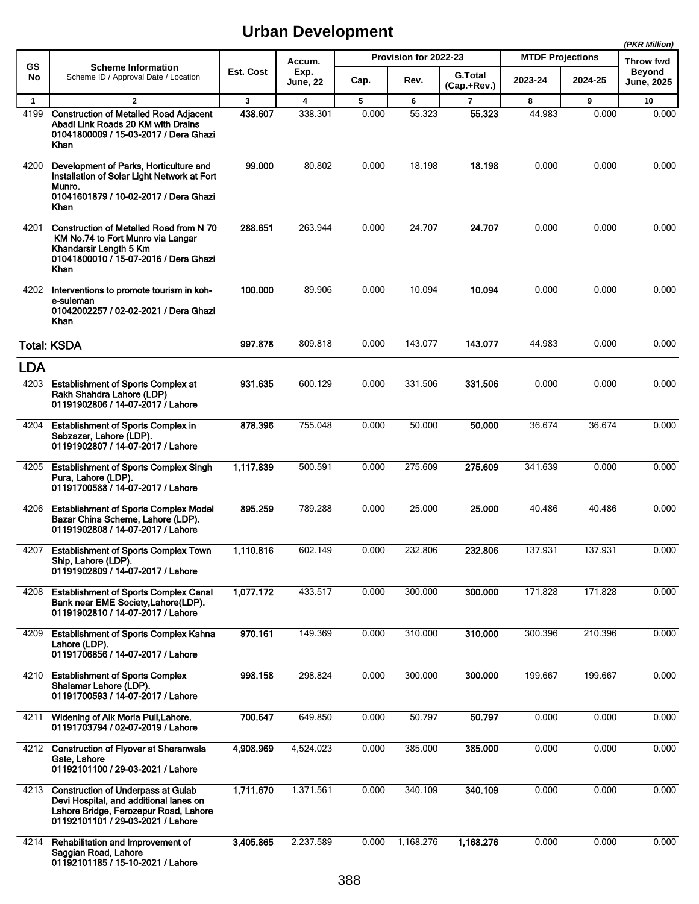|              |                                                                                                                                                                 |           |                         |       |                       |                               |                         |         | (PKR Million)              |
|--------------|-----------------------------------------------------------------------------------------------------------------------------------------------------------------|-----------|-------------------------|-------|-----------------------|-------------------------------|-------------------------|---------|----------------------------|
| GS           | <b>Scheme Information</b>                                                                                                                                       | Est. Cost | Accum.                  |       | Provision for 2022-23 |                               | <b>MTDF Projections</b> |         | Throw fwd<br><b>Beyond</b> |
| No           | Scheme ID / Approval Date / Location                                                                                                                            |           | Exp.<br><b>June, 22</b> | Cap.  | Rev.                  | <b>G.Total</b><br>(Cap.+Rev.) | 2023-24                 | 2024-25 | June, 2025                 |
| $\mathbf{1}$ | $\overline{2}$                                                                                                                                                  | 3         | 4                       | 5     | 6                     | $\overline{7}$                | 8                       | 9       | 10                         |
| 4199         | <b>Construction of Metalled Road Adjacent</b><br>Abadi Link Roads 20 KM with Drains<br>01041800009 / 15-03-2017 / Dera Ghazi<br>Khan                            | 438.607   | 338.301                 | 0.000 | 55.323                | 55.323                        | 44.983                  | 0.000   | 0.000                      |
| 4200         | Development of Parks, Horticulture and<br>Installation of Solar Light Network at Fort<br>Munro.<br>01041601879 / 10-02-2017 / Dera Ghazi<br>Khan                | 99.000    | 80.802                  | 0.000 | 18.198                | 18.198                        | 0.000                   | 0.000   | 0.000                      |
| 4201         | Construction of Metalled Road from N 70<br>KM No.74 to Fort Munro via Langar<br>Khandarsir Length 5 Km<br>01041800010 / 15-07-2016 / Dera Ghazi<br>Khan         | 288.651   | 263.944                 | 0.000 | 24.707                | 24.707                        | 0.000                   | 0.000   | 0.000                      |
| 4202         | Interventions to promote tourism in koh-<br>e-suleman<br>01042002257 / 02-02-2021 / Dera Ghazi<br><b>Khan</b>                                                   | 100.000   | 89.906                  | 0.000 | 10.094                | 10.094                        | 0.000                   | 0.000   | 0.000                      |
|              | <b>Total: KSDA</b>                                                                                                                                              | 997.878   | 809.818                 | 0.000 | 143.077               | 143.077                       | 44.983                  | 0.000   | 0.000                      |
| <b>LDA</b>   |                                                                                                                                                                 |           |                         |       |                       |                               |                         |         |                            |
| 4203         | <b>Establishment of Sports Complex at</b><br>Rakh Shahdra Lahore (LDP)<br>01191902806 / 14-07-2017 / Lahore                                                     | 931.635   | 600.129                 | 0.000 | 331.506               | 331.506                       | 0.000                   | 0.000   | 0.000                      |
| 4204         | <b>Establishment of Sports Complex in</b><br>Sabzazar, Lahore (LDP).<br>01191902807 / 14-07-2017 / Lahore                                                       | 878.396   | 755.048                 | 0.000 | 50.000                | 50,000                        | 36.674                  | 36.674  | 0.000                      |
| 4205         | <b>Establishment of Sports Complex Singh</b><br>Pura, Lahore (LDP).<br>01191700588 / 14-07-2017 / Lahore                                                        | 1,117.839 | 500.591                 | 0.000 | 275.609               | 275.609                       | 341.639                 | 0.000   | 0.000                      |
| 4206         | <b>Establishment of Sports Complex Model</b><br>Bazar China Scheme, Lahore (LDP).<br>01191902808 / 14-07-2017 / Lahore                                          | 895.259   | 789.288                 | 0.000 | 25.000                | 25,000                        | 40.486                  | 40.486  | 0.000                      |
| 4207         | <b>Establishment of Sports Complex Town</b><br>Ship, Lahore (LDP).<br>01191902809 / 14-07-2017 / Lahore                                                         | 1,110.816 | 602.149                 | 0.000 | 232.806               | 232.806                       | 137.931                 | 137.931 | 0.000                      |
| 4208         | <b>Establishment of Sports Complex Canal</b><br>Bank near EME Society, Lahore (LDP).<br>01191902810 / 14-07-2017 / Lahore                                       | 1,077.172 | 433.517                 | 0.000 | 300.000               | 300.000                       | 171.828                 | 171.828 | 0.000                      |
| 4209         | <b>Establishment of Sports Complex Kahna</b><br>Lahore (LDP).<br>01191706856 / 14-07-2017 / Lahore                                                              | 970.161   | 149.369                 | 0.000 | 310.000               | 310.000                       | 300.396                 | 210.396 | 0.000                      |
| 4210         | <b>Establishment of Sports Complex</b><br>Shalamar Lahore (LDP).<br>01191700593 / 14-07-2017 / Lahore                                                           | 998.158   | 298.824                 | 0.000 | 300.000               | 300.000                       | 199.667                 | 199.667 | 0.000                      |
| 4211         | Widening of Aik Moria Pull, Lahore.<br>01191703794 / 02-07-2019 / Lahore                                                                                        | 700.647   | 649.850                 | 0.000 | 50.797                | 50.797                        | 0.000                   | 0.000   | 0.000                      |
|              | 4212 Construction of Flyover at Sheranwala<br>Gate, Lahore<br>01192101100 / 29-03-2021 / Lahore                                                                 | 4,908.969 | 4,524.023               | 0.000 | 385.000               | 385.000                       | 0.000                   | 0.000   | 0.000                      |
|              | 4213 Construction of Underpass at Gulab<br>Devi Hospital, and additional lanes on<br>Lahore Bridge, Ferozepur Road, Lahore<br>01192101101 / 29-03-2021 / Lahore | 1,711.670 | 1,371.561               | 0.000 | 340.109               | 340.109                       | 0.000                   | 0.000   | 0.000                      |
| 4214         | Rehabilitation and Improvement of<br>Saggian Road, Lahore<br>01192101185 / 15-10-2021 / Lahore                                                                  | 3,405.865 | 2,237.589               | 0.000 | 1,168.276             | 1,168.276                     | 0.000                   | 0.000   | 0.000                      |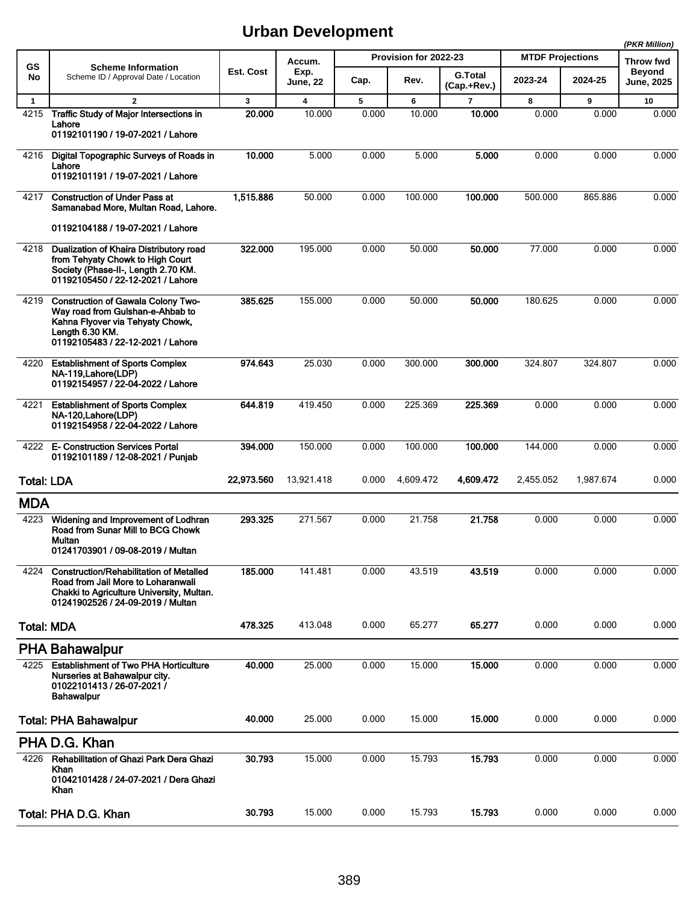|                   |                                                                                                                                                                           |              |                         |       |                       |                        |                         |           | (PKR Million)               |
|-------------------|---------------------------------------------------------------------------------------------------------------------------------------------------------------------------|--------------|-------------------------|-------|-----------------------|------------------------|-------------------------|-----------|-----------------------------|
| GS                | <b>Scheme Information</b>                                                                                                                                                 |              | Accum.                  |       | Provision for 2022-23 |                        | <b>MTDF Projections</b> |           | <b>Throw fwd</b>            |
| No                | Scheme ID / Approval Date / Location                                                                                                                                      | Est. Cost    | Exp.<br><b>June, 22</b> | Cap.  | Rev.                  | G.Total<br>(Cap.+Rev.) | 2023-24                 | 2024-25   | <b>Beyond</b><br>June, 2025 |
| $\mathbf{1}$      | $\overline{2}$                                                                                                                                                            | $\mathbf{3}$ | $\overline{\mathbf{4}}$ | 5     | 6                     | $\overline{7}$         | 8                       | 9         | 10                          |
| 4215              | <b>Traffic Study of Major Intersections in</b><br>Lahore<br>01192101190 / 19-07-2021 / Lahore                                                                             | 20.000       | 10.000                  | 0.000 | 10.000                | 10.000                 | 0.000                   | 0.000     | 0.000                       |
| 4216              | Digital Topographic Surveys of Roads in<br>Lahore<br>01192101191 / 19-07-2021 / Lahore                                                                                    | 10.000       | 5.000                   | 0.000 | 5.000                 | 5.000                  | 0.000                   | 0.000     | 0.000                       |
| 4217              | <b>Construction of Under Pass at</b><br>Samanabad More, Multan Road, Lahore.                                                                                              | 1,515.886    | 50.000                  | 0.000 | 100.000               | 100.000                | 500.000                 | 865.886   | 0.000                       |
|                   | 01192104188 / 19-07-2021 / Lahore                                                                                                                                         |              |                         |       |                       |                        |                         |           |                             |
| 4218              | Dualization of Khaira Distributory road<br>from Tehyaty Chowk to High Court<br>Society (Phase-II-, Length 2.70 KM.<br>01192105450 / 22-12-2021 / Lahore                   | 322.000      | 195.000                 | 0.000 | 50.000                | 50,000                 | 77.000                  | 0.000     | 0.000                       |
| 4219              | <b>Construction of Gawala Colony Two-</b><br>Way road from Gulshan-e-Ahbab to<br>Kahna Flyover via Tehyaty Chowk,<br>Length 6.30 KM.<br>01192105483 / 22-12-2021 / Lahore | 385.625      | 155.000                 | 0.000 | 50.000                | 50.000                 | 180.625                 | 0.000     | 0.000                       |
| 4220              | <b>Establishment of Sports Complex</b><br>NA-119, Lahore (LDP)<br>01192154957 / 22-04-2022 / Lahore                                                                       | 974.643      | 25.030                  | 0.000 | 300.000               | 300,000                | 324.807                 | 324.807   | 0.000                       |
| 4221              | <b>Establishment of Sports Complex</b><br>NA-120, Lahore(LDP)<br>01192154958 / 22-04-2022 / Lahore                                                                        | 644.819      | 419.450                 | 0.000 | 225.369               | 225.369                | 0.000                   | 0.000     | 0.000                       |
| 4222              | <b>E- Construction Services Portal</b><br>01192101189 / 12-08-2021 / Punjab                                                                                               | 394.000      | 150.000                 | 0.000 | 100.000               | 100.000                | 144.000                 | 0.000     | 0.000                       |
| <b>Total: LDA</b> |                                                                                                                                                                           | 22,973.560   | 13,921.418              | 0.000 | 4,609.472             | 4,609.472              | 2,455.052               | 1,987.674 | 0.000                       |
| <b>MDA</b>        |                                                                                                                                                                           |              |                         |       |                       |                        |                         |           |                             |
| 4223              | Widening and Improvement of Lodhran<br>Road from Sunar Mill to BCG Chowk<br>Multan<br>01241703901 / 09-08-2019 / Multan                                                   | 293.325      | 271.567                 | 0.000 | 21.758                | 21.758                 | 0.000                   | 0.000     | 0.000                       |
| 4224              | <b>Construction/Rehabilitation of Metalled</b><br>Road from Jail More to Loharanwali<br>Chakki to Agriculture University, Multan.<br>01241902526 / 24-09-2019 / Multan    | 185.000      | 141.481                 | 0.000 | 43.519                | 43.519                 | 0.000                   | 0.000     | 0.000                       |
|                   | <b>Total: MDA</b>                                                                                                                                                         | 478.325      | 413.048                 | 0.000 | 65.277                | 65.277                 | 0.000                   | 0.000     | 0.000                       |
|                   | <b>PHA Bahawalpur</b>                                                                                                                                                     |              |                         |       |                       |                        |                         |           |                             |
| 4225              | <b>Establishment of Two PHA Horticulture</b><br>Nurseries at Bahawalpur city.<br>01022101413 / 26-07-2021 /<br><b>Bahawalpur</b>                                          | 40.000       | 25.000                  | 0.000 | 15.000                | 15.000                 | 0.000                   | 0.000     | 0.000                       |
|                   | <b>Total: PHA Bahawalpur</b>                                                                                                                                              | 40.000       | 25.000                  | 0.000 | 15.000                | 15.000                 | 0.000                   | 0.000     | 0.000                       |
|                   | PHA D.G. Khan                                                                                                                                                             |              |                         |       |                       |                        |                         |           |                             |
| 4226              | Rehabilitation of Ghazi Park Dera Ghazi<br>Khan<br>01042101428 / 24-07-2021 / Dera Ghazi<br>Khan                                                                          | 30.793       | 15.000                  | 0.000 | 15.793                | 15.793                 | 0.000                   | 0.000     | 0.000                       |
|                   | Total: PHA D.G. Khan                                                                                                                                                      | 30.793       | 15.000                  | 0.000 | 15.793                | 15.793                 | 0.000                   | 0.000     | 0.000                       |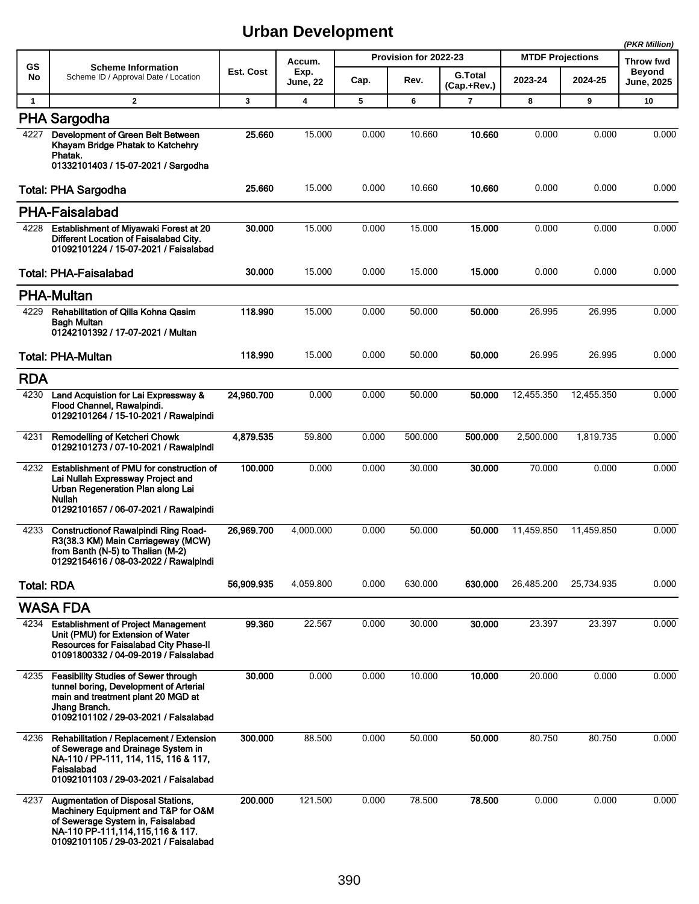|              |                                                                                                                                                                                                       |            |                         |       |                       |                        |                         |            | (PKR Million)                      |
|--------------|-------------------------------------------------------------------------------------------------------------------------------------------------------------------------------------------------------|------------|-------------------------|-------|-----------------------|------------------------|-------------------------|------------|------------------------------------|
| GS           | <b>Scheme Information</b>                                                                                                                                                                             |            | Accum.                  |       | Provision for 2022-23 |                        | <b>MTDF Projections</b> |            | <b>Throw fwd</b>                   |
| No           | Scheme ID / Approval Date / Location                                                                                                                                                                  | Est. Cost  | Exp.<br><b>June, 22</b> | Cap.  | Rev.                  | G.Total<br>(Cap.+Rev.) | 2023-24                 | 2024-25    | <b>Beyond</b><br><b>June, 2025</b> |
| $\mathbf{1}$ | $\overline{2}$                                                                                                                                                                                        | 3          | 4                       | 5     | 6                     | 7                      | 8                       | 9          | 10                                 |
|              | <b>PHA Sargodha</b>                                                                                                                                                                                   |            |                         |       |                       |                        |                         |            |                                    |
| 4227         | Development of Green Belt Between<br>Khayam Bridge Phatak to Katchehry<br>Phatak.                                                                                                                     | 25.660     | 15.000                  | 0.000 | 10.660                | 10.660                 | 0.000                   | 0.000      | 0.000                              |
|              | 01332101403 / 15-07-2021 / Sargodha                                                                                                                                                                   |            |                         |       |                       |                        |                         |            |                                    |
|              | <b>Total: PHA Sargodha</b>                                                                                                                                                                            | 25.660     | 15.000                  | 0.000 | 10.660                | 10.660                 | 0.000                   | 0.000      | 0.000                              |
|              | <b>PHA-Faisalabad</b>                                                                                                                                                                                 |            |                         |       |                       |                        |                         |            |                                    |
| 4228         | <b>Establishment of Miyawaki Forest at 20</b><br>Different Location of Faisalabad City.<br>01092101224 / 15-07-2021 / Faisalabad                                                                      | 30.000     | 15.000                  | 0.000 | 15.000                | 15.000                 | 0.000                   | 0.000      | 0.000                              |
|              | <b>Total: PHA-Faisalabad</b>                                                                                                                                                                          | 30.000     | 15.000                  | 0.000 | 15.000                | 15.000                 | 0.000                   | 0.000      | 0.000                              |
|              | <b>PHA-Multan</b>                                                                                                                                                                                     |            |                         |       |                       |                        |                         |            |                                    |
| 4229         | Rehabilitation of Qilla Kohna Qasim<br>Bagh Multan<br>01242101392 / 17-07-2021 / Multan                                                                                                               | 118.990    | 15.000                  | 0.000 | 50.000                | 50.000                 | 26.995                  | 26.995     | 0.000                              |
|              | <b>Total: PHA-Multan</b>                                                                                                                                                                              | 118.990    | 15.000                  | 0.000 | 50.000                | 50,000                 | 26.995                  | 26.995     | 0.000                              |
| <b>RDA</b>   |                                                                                                                                                                                                       |            |                         |       |                       |                        |                         |            |                                    |
| 4230         | Land Acquistion for Lai Expressway &<br>Flood Channel, Rawalpindi.<br>01292101264 / 15-10-2021 / Rawalpindi                                                                                           | 24,960.700 | 0.000                   | 0.000 | 50.000                | 50.000                 | 12,455.350              | 12,455.350 | 0.000                              |
| 4231         | Remodelling of Ketcheri Chowk<br>01292101273 / 07-10-2021 / Rawalpindi                                                                                                                                | 4,879.535  | 59.800                  | 0.000 | 500.000               | 500.000                | 2,500.000               | 1,819.735  | 0.000                              |
| 4232         | Establishment of PMU for construction of<br>Lai Nullah Expressway Project and<br>Urban Regeneration Plan along Lai<br><b>Nullah</b><br>01292101657 / 06-07-2021 / Rawalpindi                          | 100.000    | 0.000                   | 0.000 | 30.000                | 30,000                 | 70.000                  | 0.000      | 0.000                              |
| 4233         | <b>Constructionof Rawalpindi Ring Road-</b><br>R3(38.3 KM) Main Carriageway (MCW)<br>from Banth (N-5) to Thalian (M-2)<br>01292154616 / 08-03-2022 / Rawalpindi                                       | 26,969.700 | 4,000.000               | 0.000 | 50.000                | 50.000                 | 11,459.850              | 11,459.850 | 0.000                              |
|              | <b>Total: RDA</b>                                                                                                                                                                                     | 56,909.935 | 4,059.800               | 0.000 | 630.000               | 630.000                | 26,485.200              | 25,734.935 | 0.000                              |
|              | WASA FDA                                                                                                                                                                                              |            |                         |       |                       |                        |                         |            |                                    |
| 4234         | <b>Establishment of Project Management</b><br>Unit (PMU) for Extension of Water<br>Resources for Faisalabad City Phase-II<br>01091800332 / 04-09-2019 / Faisalabad                                    | 99.360     | 22.567                  | 0.000 | 30.000                | 30.000                 | 23.397                  | 23.397     | 0.000                              |
| 4235         | <b>Feasibility Studies of Sewer through</b><br>tunnel boring, Development of Arterial<br>main and treatment plant 20 MGD at<br>Jhang Branch.<br>01092101102 / 29-03-2021 / Faisalabad                 | 30.000     | 0.000                   | 0.000 | 10.000                | 10.000                 | 20.000                  | 0.000      | 0.000                              |
| 4236         | Rehabilitation / Replacement / Extension<br>of Sewerage and Drainage System in<br>NA-110 / PP-111, 114, 115, 116 & 117,<br>Faisalabad<br>01092101103 / 29-03-2021 / Faisalabad                        | 300.000    | 88.500                  | 0.000 | 50.000                | 50.000                 | 80.750                  | 80.750     | 0.000                              |
| 4237         | <b>Augmentation of Disposal Stations,</b><br>Machinery Equipment and T&P for O&M<br>of Sewerage System in, Faisalabad<br>NA-110 PP-111, 114, 115, 116 & 117.<br>01092101105 / 29-03-2021 / Faisalabad | 200.000    | 121.500                 | 0.000 | 78.500                | 78.500                 | 0.000                   | 0.000      | 0.000                              |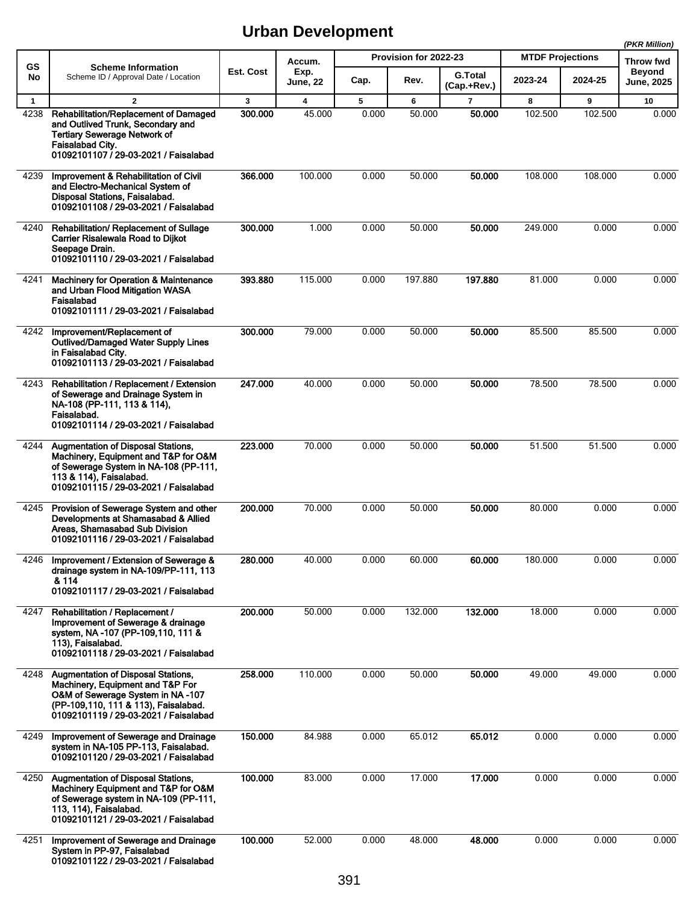|                      |                                                                                                                                                                                                    |              |                                   |            |                       |                               | (PKR Million)           |                           |                            |
|----------------------|----------------------------------------------------------------------------------------------------------------------------------------------------------------------------------------------------|--------------|-----------------------------------|------------|-----------------------|-------------------------------|-------------------------|---------------------------|----------------------------|
| <b>GS</b>            | <b>Scheme Information</b>                                                                                                                                                                          | Est. Cost    | Accum.<br>Exp.                    |            | Provision for 2022-23 |                               | <b>MTDF Projections</b> |                           | Throw fwd<br><b>Beyond</b> |
| No                   | Scheme ID / Approval Date / Location                                                                                                                                                               |              | <b>June, 22</b>                   | Cap.       | Rev.                  | <b>G.Total</b><br>(Cap.+Rev.) | 2023-24                 | 2024-25                   | <b>June, 2025</b>          |
| $\mathbf{1}$<br>4238 | $\overline{2}$<br>Rehabilitation/Replacement of Damaged<br>and Outlived Trunk, Secondary and<br><b>Tertiary Sewerage Network of</b><br>Faisalabad City.<br>01092101107 / 29-03-2021 / Faisalabad   | 3<br>300.000 | $\overline{\mathbf{4}}$<br>45.000 | 5<br>0.000 | 6<br>50.000           | $\overline{7}$<br>50.000      | 8<br>102.500            | $\overline{9}$<br>102.500 | 10<br>0.000                |
| 4239                 | Improvement & Rehabilitation of Civil<br>and Electro-Mechanical System of<br>Disposal Stations, Faisalabad.<br>01092101108 / 29-03-2021 / Faisalabad                                               | 366.000      | 100.000                           | 0.000      | 50.000                | 50.000                        | 108.000                 | 108.000                   | 0.000                      |
| 4240                 | Rehabilitation/ Replacement of Sullage<br><b>Carrier Risalewala Road to Dijkot</b><br>Seepage Drain.<br>01092101110 / 29-03-2021 / Faisalabad                                                      | 300.000      | 1.000                             | 0.000      | 50.000                | 50.000                        | 249.000                 | 0.000                     | 0.000                      |
| 4241                 | <b>Machinery for Operation &amp; Maintenance</b><br>and Urban Flood Mitigation WASA<br>Faisalabad<br>01092101111 / 29-03-2021 / Faisalabad                                                         | 393.880      | 115.000                           | 0.000      | 197.880               | 197.880                       | 81.000                  | 0.000                     | 0.000                      |
| 4242                 | Improvement/Replacement of<br><b>Outlived/Damaged Water Supply Lines</b><br>in Faisalabad City.<br>01092101113 / 29-03-2021 / Faisalabad                                                           | 300.000      | 79.000                            | 0.000      | 50.000                | 50.000                        | 85.500                  | 85.500                    | 0.000                      |
| 4243                 | Rehabilitation / Replacement / Extension<br>of Sewerage and Drainage System in<br>NA-108 (PP-111, 113 & 114),<br>Faisalabad.<br>01092101114 / 29-03-2021 / Faisalabad                              | 247.000      | 40.000                            | 0.000      | 50.000                | 50.000                        | 78.500                  | 78.500                    | 0.000                      |
| 4244                 | Augmentation of Disposal Stations,<br>Machinery, Equipment and T&P for O&M<br>of Sewerage System in NA-108 (PP-111,<br>113 & 114), Faisalabad.<br>01092101115 / 29-03-2021 / Faisalabad            | 223.000      | 70.000                            | 0.000      | 50.000                | 50,000                        | 51.500                  | 51.500                    | 0.000                      |
| 4245                 | Provision of Sewerage System and other<br>Developments at Shamasabad & Allied<br>Areas, Shamasabad Sub Division<br>01092101116 / 29-03-2021 / Faisalabad                                           | 200.000      | 70.000                            | 0.000      | 50.000                | 50.000                        | 80.000                  | 0.000                     | 0.000                      |
| 4246                 | Improvement / Extension of Sewerage &<br>drainage system in NA-109/PP-111, 113<br>& 114<br>01092101117 / 29-03-2021 / Faisalabad                                                                   | 280.000      | 40.000                            | 0.000      | 60.000                | 60.000                        | 180.000                 | 0.000                     | 0.000                      |
| 4247                 | Rehabilitation / Replacement /<br>Improvement of Sewerage & drainage<br>system, NA -107 (PP-109,110, 111 &<br>113), Faisalabad.<br>01092101118 / 29-03-2021 / Faisalabad                           | 200.000      | 50.000                            | 0.000      | 132.000               | 132.000                       | 18.000                  | 0.000                     | 0.000                      |
| 4248                 | <b>Augmentation of Disposal Stations,</b><br>Machinery, Equipment and T&P For<br>O&M of Sewerage System in NA-107<br>(PP-109,110, 111 & 113), Faisalabad.<br>01092101119 / 29-03-2021 / Faisalabad | 258.000      | 110.000                           | 0.000      | 50.000                | 50.000                        | 49.000                  | 49.000                    | 0.000                      |
| 4249                 | Improvement of Sewerage and Drainage<br>system in NA-105 PP-113, Faisalabad.<br>01092101120 / 29-03-2021 / Faisalabad                                                                              | 150.000      | 84.988                            | 0.000      | 65.012                | 65.012                        | 0.000                   | 0.000                     | 0.000                      |
| 4250                 | <b>Augmentation of Disposal Stations,</b><br>Machinery Equipment and T&P for O&M<br>of Sewerage system in NA-109 (PP-111,<br>113, 114), Faisalabad.<br>01092101121 / 29-03-2021 / Faisalabad       | 100.000      | 83.000                            | 0.000      | 17.000                | 17.000                        | 0.000                   | 0.000                     | 0.000                      |
| 4251                 | Improvement of Sewerage and Drainage<br>System in PP-97, Faisalabad<br>01092101122 / 29-03-2021 / Faisalabad                                                                                       | 100.000      | 52.000                            | 0.000      | 48.000                | 48.000                        | 0.000                   | 0.000                     | 0.000                      |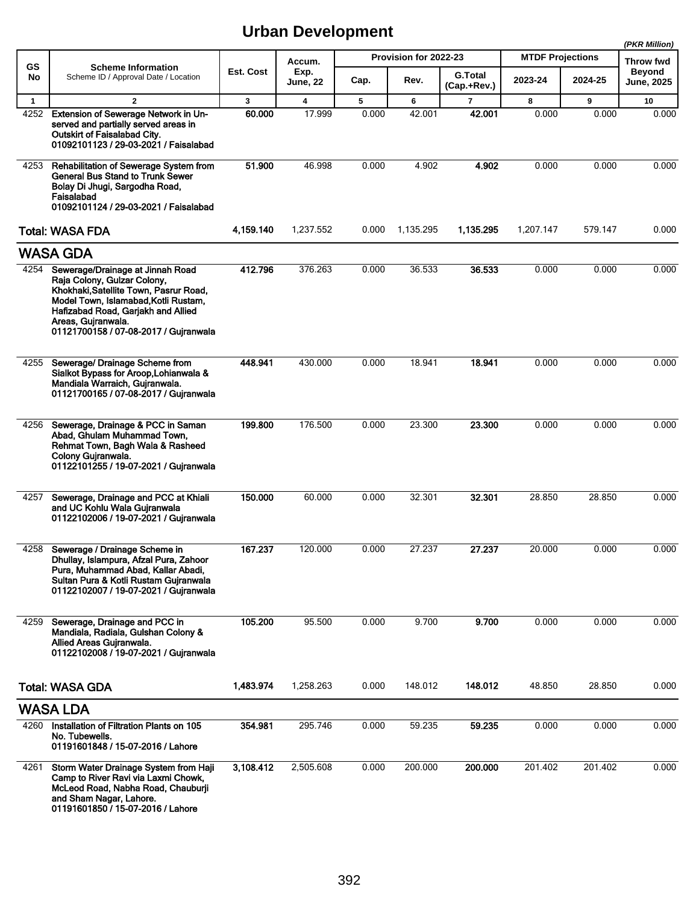|              |                                                                                                                                                                                                                                                        |              |                         |       |                       |                               |                         |         | (PKR Million)               |
|--------------|--------------------------------------------------------------------------------------------------------------------------------------------------------------------------------------------------------------------------------------------------------|--------------|-------------------------|-------|-----------------------|-------------------------------|-------------------------|---------|-----------------------------|
| <b>GS</b>    | <b>Scheme Information</b>                                                                                                                                                                                                                              |              | Accum.                  |       | Provision for 2022-23 |                               | <b>MTDF Projections</b> |         | Throw fwd                   |
| No           | Scheme ID / Approval Date / Location                                                                                                                                                                                                                   | Est. Cost    | Exp.<br><b>June, 22</b> | Cap.  | Rev.                  | <b>G.Total</b><br>(Cap.+Rev.) | 2023-24                 | 2024-25 | Beyond<br><b>June, 2025</b> |
| $\mathbf{1}$ | $\mathbf{2}$                                                                                                                                                                                                                                           | $\mathbf{3}$ | $\overline{\mathbf{4}}$ | 5     | 6                     | $\overline{7}$                | 8                       | 9       | 10                          |
| 4252         | Extension of Sewerage Network in Un-<br>served and partially served areas in<br>Outskirt of Faisalabad City.<br>01092101123 / 29-03-2021 / Faisalabad                                                                                                  | 60.000       | 17.999                  | 0.000 | 42.001                | 42.001                        | 0.000                   | 0.000   | 0.000                       |
| 4253         | Rehabilitation of Sewerage System from<br><b>General Bus Stand to Trunk Sewer</b><br>Bolay Di Jhugi, Sargodha Road,<br>Faisalabad<br>01092101124 / 29-03-2021 / Faisalabad                                                                             | 51.900       | 46.998                  | 0.000 | 4.902                 | 4.902                         | 0.000                   | 0.000   | 0.000                       |
|              | <b>Total: WASA FDA</b>                                                                                                                                                                                                                                 | 4,159.140    | 1,237.552               | 0.000 | 1,135.295             | 1,135.295                     | 1,207.147               | 579.147 | 0.000                       |
|              | <b>WASA GDA</b>                                                                                                                                                                                                                                        |              |                         |       |                       |                               |                         |         |                             |
| 4254         | Sewerage/Drainage at Jinnah Road<br>Raja Colony, Gulzar Colony,<br>Khokhaki, Satellite Town, Pasrur Road,<br>Model Town, Islamabad, Kotli Rustam,<br>Hafizabad Road, Gariakh and Allied<br>Areas, Gujranwala.<br>01121700158 / 07-08-2017 / Gujranwala | 412.796      | 376.263                 | 0.000 | 36.533                | 36.533                        | 0.000                   | 0.000   | 0.000                       |
| 4255         | Sewerage/ Drainage Scheme from<br>Sialkot Bypass for Aroop, Lohianwala &<br>Mandiala Warraich, Gujranwala.<br>01121700165 / 07-08-2017 / Gujranwala                                                                                                    | 448.941      | 430.000                 | 0.000 | 18.941                | 18.941                        | 0.000                   | 0.000   | 0.000                       |
| 4256         | Sewerage, Drainage & PCC in Saman<br>Abad, Ghulam Muhammad Town,<br>Rehmat Town, Bagh Wala & Rasheed<br>Colony Gujranwala.<br>01122101255 / 19-07-2021 / Gujranwala                                                                                    | 199.800      | 176.500                 | 0.000 | 23.300                | 23.300                        | 0.000                   | 0.000   | 0.000                       |
| 4257         | Sewerage, Drainage and PCC at Khiali<br>and UC Kohlu Wala Gujranwala<br>01122102006 / 19-07-2021 / Gujranwala                                                                                                                                          | 150.000      | 60.000                  | 0.000 | 32.301                | 32.301                        | 28.850                  | 28.850  | 0.000                       |
| 4258         | Sewerage / Drainage Scheme in<br>Dhullay, Islampura, Afzal Pura, Zahoor<br>Pura, Muhammad Abad, Kallar Abadi,<br>Sultan Pura & Kotli Rustam Gujranwala<br>01122102007 / 19-07-2021 / Gujranwala                                                        | 167.237      | 120.000                 | 0.000 | 27.237                | 27.237                        | 20.000                  | 0.000   | 0.000                       |
| 4259         | Sewerage, Drainage and PCC in<br>Mandiala, Radiala, Gulshan Colony &<br>Allied Areas Gujranwala.<br>01122102008 / 19-07-2021 / Guiranwala                                                                                                              | 105.200      | 95.500                  | 0.000 | 9.700                 | 9.700                         | 0.000                   | 0.000   | 0.000                       |
|              | <b>Total: WASA GDA</b>                                                                                                                                                                                                                                 | 1,483.974    | 1,258.263               | 0.000 | 148.012               | 148.012                       | 48.850                  | 28.850  | 0.000                       |
|              | <b>WASA LDA</b>                                                                                                                                                                                                                                        |              |                         |       |                       |                               |                         |         |                             |
| 4260         | Installation of Filtration Plants on 105<br>No. Tubewells.<br>01191601848 / 15-07-2016 / Lahore                                                                                                                                                        | 354.981      | 295.746                 | 0.000 | 59.235                | 59.235                        | 0.000                   | 0.000   | 0.000                       |
| 4261         | Storm Water Drainage System from Haji<br>Camp to River Ravi via Laxmi Chowk,<br>McLeod Road, Nabha Road, Chauburji<br>and Sham Nagar, Lahore.<br>01191601850 / 15-07-2016 / Lahore                                                                     | 3,108.412    | 2,505.608               | 0.000 | 200.000               | 200.000                       | 201.402                 | 201.402 | 0.000                       |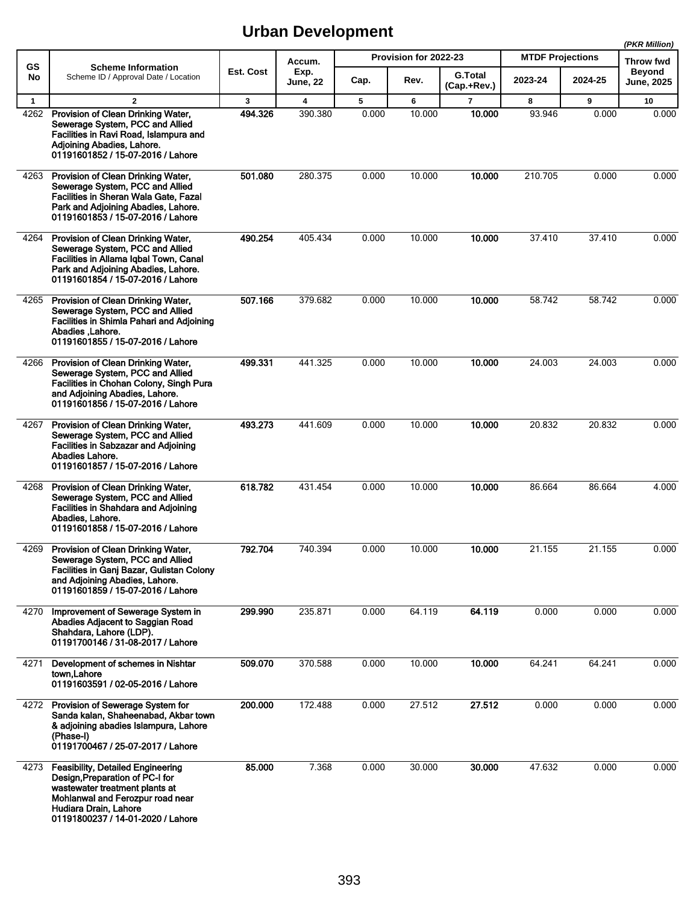|              |                                                                                                                                                                                                                 |           |                         |       |                       |                               |                         |         | (PKR Million)                      |
|--------------|-----------------------------------------------------------------------------------------------------------------------------------------------------------------------------------------------------------------|-----------|-------------------------|-------|-----------------------|-------------------------------|-------------------------|---------|------------------------------------|
| GS           | <b>Scheme Information</b>                                                                                                                                                                                       |           | Accum.                  |       | Provision for 2022-23 |                               | <b>MTDF Projections</b> |         | Throw fwd                          |
| No           | Scheme ID / Approval Date / Location                                                                                                                                                                            | Est. Cost | Exp.<br><b>June, 22</b> | Cap.  | Rev.                  | <b>G.Total</b><br>(Cap.+Rev.) | 2023-24                 | 2024-25 | <b>Beyond</b><br><b>June, 2025</b> |
| $\mathbf{1}$ | $\overline{2}$                                                                                                                                                                                                  | 3         | 4                       | 5     | 6                     | $\overline{7}$                | 8                       | 9       | 10                                 |
| 4262         | Provision of Clean Drinking Water,<br>Sewerage System, PCC and Allied<br>Facilities in Ravi Road, Islampura and<br>Adjoining Abadies, Lahore.<br>01191601852 / 15-07-2016 / Lahore                              | 494.326   | 390.380                 | 0.000 | 10.000                | 10.000                        | 93.946                  | 0.000   | 0.000                              |
| 4263         | Provision of Clean Drinking Water,<br>Sewerage System, PCC and Allied<br>Facilities in Sheran Wala Gate, Fazal<br>Park and Adjoining Abadies, Lahore.<br>01191601853 / 15-07-2016 / Lahore                      | 501.080   | 280.375                 | 0.000 | 10.000                | 10.000                        | 210.705                 | 0.000   | 0.000                              |
| 4264         | Provision of Clean Drinking Water,<br>Sewerage System, PCC and Allied<br>Facilities in Allama Iqbal Town, Canal<br>Park and Adjoining Abadies, Lahore.<br>01191601854 / 15-07-2016 / Lahore                     | 490.254   | 405.434                 | 0.000 | 10.000                | 10.000                        | 37.410                  | 37.410  | 0.000                              |
| 4265         | Provision of Clean Drinking Water,<br>Sewerage System, PCC and Allied<br>Facilities in Shimla Pahari and Adjoining<br>Abadies Lahore.<br>01191601855 / 15-07-2016 / Lahore                                      | 507.166   | 379.682                 | 0.000 | 10.000                | 10.000                        | 58.742                  | 58.742  | 0.000                              |
| 4266         | Provision of Clean Drinking Water,<br>Sewerage System, PCC and Allied<br>Facilities in Chohan Colony, Singh Pura<br>and Adjoining Abadies, Lahore.<br>01191601856 / 15-07-2016 / Lahore                         | 499.331   | 441.325                 | 0.000 | 10.000                | 10.000                        | 24.003                  | 24.003  | 0.000                              |
| 4267         | Provision of Clean Drinking Water,<br>Sewerage System, PCC and Allied<br><b>Facilities in Sabzazar and Adjoining</b><br>Abadies Lahore.<br>01191601857 / 15-07-2016 / Lahore                                    | 493.273   | 441.609                 | 0.000 | 10.000                | 10.000                        | 20.832                  | 20.832  | 0.000                              |
| 4268         | Provision of Clean Drinking Water,<br>Sewerage System, PCC and Allied<br><b>Facilities in Shahdara and Adjoining</b><br>Abadies, Lahore.<br>01191601858 / 15-07-2016 / Lahore                                   | 618.782   | 431.454                 | 0.000 | 10.000                | 10.000                        | 86.664                  | 86.664  | 4.000                              |
| 4269         | Provision of Clean Drinking Water,<br>Sewerage System, PCC and Allied<br>Facilities in Ganj Bazar, Gulistan Colony<br>and Adjoining Abadies, Lahore.<br>01191601859 / 15-07-2016 / Lahore                       | 792.704   | 740.394                 | 0.000 | 10.000                | 10.000                        | 21.155                  | 21.155  | 0.000                              |
| 4270         | Improvement of Sewerage System in<br>Abadies Adjacent to Saggian Road<br>Shahdara, Lahore (LDP).<br>01191700146 / 31-08-2017 / Lahore                                                                           | 299.990   | 235.871                 | 0.000 | 64.119                | 64.119                        | 0.000                   | 0.000   | 0.000                              |
| 4271         | Development of schemes in Nishtar<br>town.Lahore<br>01191603591 / 02-05-2016 / Lahore                                                                                                                           | 509.070   | 370.588                 | 0.000 | 10.000                | 10.000                        | 64.241                  | 64.241  | 0.000                              |
|              | 4272 Provision of Sewerage System for<br>Sanda kalan, Shaheenabad, Akbar town<br>& adjoining abadies Islampura, Lahore<br>(Phase-I)<br>01191700467 / 25-07-2017 / Lahore                                        | 200.000   | 172.488                 | 0.000 | 27.512                | 27.512                        | 0.000                   | 0.000   | 0.000                              |
| 4273         | <b>Feasibility, Detailed Engineering</b><br>Design, Preparation of PC-I for<br>wastewater treatment plants at<br>Mohlanwal and Ferozpur road near<br>Hudiara Drain, Lahore<br>01191800237 / 14-01-2020 / Lahore | 85,000    | 7.368                   | 0.000 | 30.000                | 30.000                        | 47.632                  | 0.000   | 0.000                              |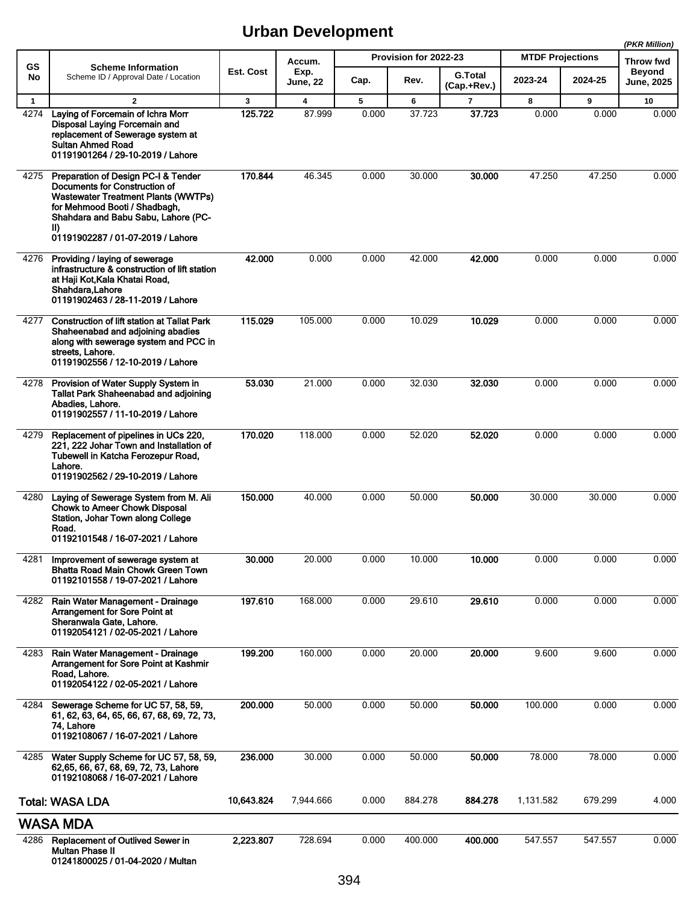|                      |                                                                                                                                                                                                                                        |              |                                   |            |                       |                          |                         |            | (PKR Million)              |
|----------------------|----------------------------------------------------------------------------------------------------------------------------------------------------------------------------------------------------------------------------------------|--------------|-----------------------------------|------------|-----------------------|--------------------------|-------------------------|------------|----------------------------|
| GS                   | <b>Scheme Information</b>                                                                                                                                                                                                              | Est. Cost    | Accum.<br>Exp.                    |            | Provision for 2022-23 |                          | <b>MTDF Projections</b> |            | Throw fwd<br><b>Beyond</b> |
| No                   | Scheme ID / Approval Date / Location                                                                                                                                                                                                   |              | <b>June, 22</b>                   | Cap.       | Rev.                  | G.Total<br>(Cap.+Rev.)   | 2023-24                 | 2024-25    | June, 2025                 |
| $\mathbf{1}$<br>4274 | $\overline{2}$<br>Laying of Forcemain of Ichra Morr<br>Disposal Laying Forcemain and<br>replacement of Sewerage system at<br><b>Sultan Ahmed Road</b><br>01191901264 / 29-10-2019 / Lahore                                             | 3<br>125.722 | $\overline{\mathbf{4}}$<br>87.999 | 5<br>0.000 | 6<br>37.723           | $\overline{7}$<br>37.723 | 8<br>0.000              | 9<br>0.000 | 10<br>0.000                |
| 4275                 | Preparation of Design PC-I & Tender<br>Documents for Construction of<br><b>Wastewater Treatment Plants (WWTPs)</b><br>for Mehmood Booti / Shadbagh,<br>Shahdara and Babu Sabu, Lahore (PC-<br>II)<br>01191902287 / 01-07-2019 / Lahore | 170.844      | 46.345                            | 0.000      | 30.000                | 30.000                   | 47.250                  | 47.250     | 0.000                      |
| 4276                 | Providing / laying of sewerage<br>infrastructure & construction of lift station<br>at Haji Kot, Kala Khatai Road,<br>Shahdara, Lahore<br>01191902463 / 28-11-2019 / Lahore                                                             | 42.000       | 0.000                             | 0.000      | 42.000                | 42.000                   | 0.000                   | 0.000      | 0.000                      |
| 4277                 | <b>Construction of lift station at Tallat Park</b><br>Shaheenabad and adjoining abadies<br>along with sewerage system and PCC in<br>streets, Lahore.<br>01191902556 / 12-10-2019 / Lahore                                              | 115.029      | 105.000                           | 0.000      | 10.029                | 10.029                   | 0.000                   | 0.000      | 0.000                      |
| 4278                 | Provision of Water Supply System in<br><b>Tallat Park Shaheenabad and adjoining</b><br>Abadies, Lahore.<br>01191902557 / 11-10-2019 / Lahore                                                                                           | 53.030       | 21.000                            | 0.000      | 32.030                | 32.030                   | 0.000                   | 0.000      | 0.000                      |
| 4279                 | Replacement of pipelines in UCs 220,<br>221, 222 Johar Town and Installation of<br>Tubewell in Katcha Ferozepur Road,<br>Lahore.<br>01191902562 / 29-10-2019 / Lahore                                                                  | 170.020      | 118.000                           | 0.000      | 52.020                | 52.020                   | 0.000                   | 0.000      | 0.000                      |
| 4280                 | Laying of Sewerage System from M. Ali<br><b>Chowk to Ameer Chowk Disposal</b><br>Station, Johar Town along College<br>Road.<br>01192101548 / 16-07-2021 / Lahore                                                                       | 150.000      | 40.000                            | 0.000      | 50.000                | 50,000                   | 30.000                  | 30.000     | 0.000                      |
|                      | 4281 Improvement of sewerage system at<br>Bhatta Road Main Chowk Green Town<br>01192101558 / 19-07-2021 / Lahore                                                                                                                       | 30.000       | 20.000                            | 0.000      | 10.000                | 10.000                   | 0.000                   | 0.000      | 0.000                      |
| 4282                 | Rain Water Management - Drainage<br><b>Arrangement for Sore Point at</b><br>Sheranwala Gate, Lahore.<br>01192054121 / 02-05-2021 / Lahore                                                                                              | 197.610      | 168.000                           | 0.000      | 29.610                | 29.610                   | 0.000                   | 0.000      | 0.000                      |
| 4283                 | Rain Water Management - Drainage<br>Arrangement for Sore Point at Kashmir<br>Road, Lahore.<br>01192054122 / 02-05-2021 / Lahore                                                                                                        | 199.200      | 160.000                           | 0.000      | 20.000                | 20.000                   | 9.600                   | 9.600      | 0.000                      |
| 4284                 | Sewerage Scheme for UC 57, 58, 59,<br>61, 62, 63, 64, 65, 66, 67, 68, 69, 72, 73,<br>74. Lahore<br>01192108067 / 16-07-2021 / Lahore                                                                                                   | 200.000      | 50.000                            | 0.000      | 50.000                | 50.000                   | 100.000                 | 0.000      | 0.000                      |
| 4285                 | Water Supply Scheme for UC 57, 58, 59,<br>62,65, 66, 67, 68, 69, 72, 73, Lahore<br>01192108068 / 16-07-2021 / Lahore                                                                                                                   | 236.000      | 30.000                            | 0.000      | 50.000                | 50.000                   | 78.000                  | 78.000     | 0.000                      |
|                      | <b>Total: WASA LDA</b>                                                                                                                                                                                                                 | 10,643.824   | 7,944.666                         | 0.000      | 884.278               | 884.278                  | 1,131.582               | 679.299    | 4.000                      |
|                      | <b>WASA MDA</b>                                                                                                                                                                                                                        |              |                                   |            |                       |                          |                         |            |                            |
| 4286                 | <b>Replacement of Outlived Sewer in</b><br><b>Multan Phase II</b><br>01241800025 / 01-04-2020 / Multan                                                                                                                                 | 2,223.807    | 728.694                           | 0.000      | 400.000               | 400.000                  | 547.557                 | 547.557    | 0.000                      |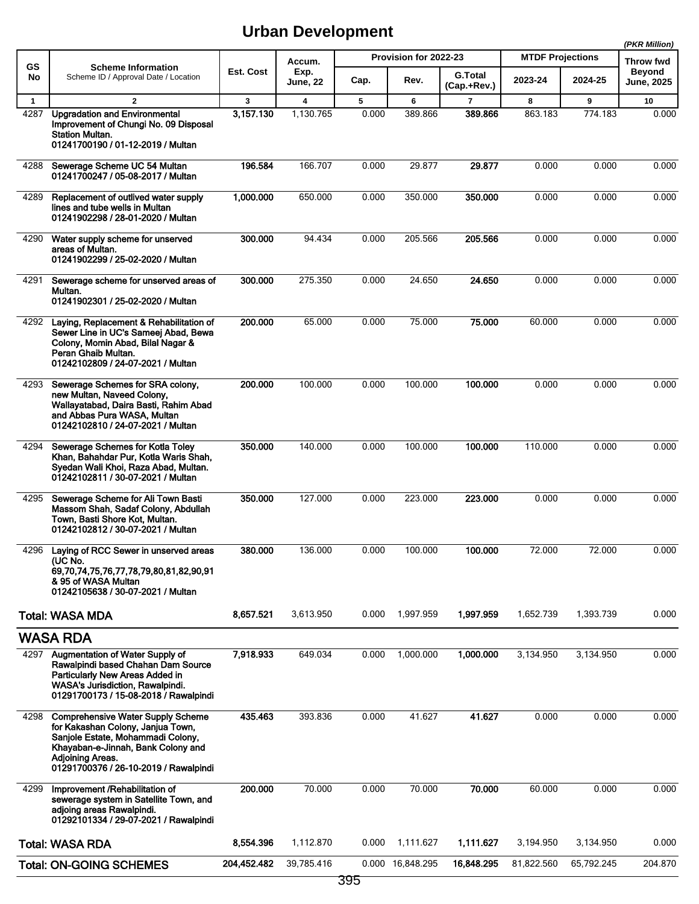|                      |                                                                                                                                                                                                                       |                |                                      |            |                       |                           |                         |              | (PKR Million)                     |
|----------------------|-----------------------------------------------------------------------------------------------------------------------------------------------------------------------------------------------------------------------|----------------|--------------------------------------|------------|-----------------------|---------------------------|-------------------------|--------------|-----------------------------------|
| GS                   | <b>Scheme Information</b><br>Scheme ID / Approval Date / Location                                                                                                                                                     | Est. Cost      | Accum.<br>Exp.                       |            | Provision for 2022-23 | <b>G.Total</b>            | <b>MTDF Projections</b> |              | <b>Throw fwd</b><br><b>Beyond</b> |
| No                   |                                                                                                                                                                                                                       |                | June, 22                             | Cap.       | Rev.                  | (Cap.+Rev.)               | 2023-24                 | 2024-25      | June, 2025                        |
| $\mathbf{1}$<br>4287 | $\overline{2}$<br><b>Upgradation and Environmental</b><br>Improvement of Chungi No. 09 Disposal<br><b>Station Multan.</b><br>01241700190 / 01-12-2019 / Multan                                                        | 3<br>3,157.130 | $\overline{\mathbf{4}}$<br>1,130.765 | 5<br>0.000 | 6<br>389.866          | $\overline{7}$<br>389.866 | 8<br>863.183            | 9<br>774.183 | 10<br>0.000                       |
| 4288                 | Sewerage Scheme UC 54 Multan<br>01241700247 / 05-08-2017 / Multan                                                                                                                                                     | 196.584        | 166.707                              | 0.000      | 29.877                | 29.877                    | 0.000                   | 0.000        | 0.000                             |
| 4289                 | Replacement of outlived water supply<br>lines and tube wells in Multan<br>01241902298 / 28-01-2020 / Multan                                                                                                           | 1,000.000      | 650.000                              | 0.000      | 350.000               | 350.000                   | 0.000                   | 0.000        | 0.000                             |
| 4290                 | Water supply scheme for unserved<br>areas of Multan.<br>01241902299 / 25-02-2020 / Multan                                                                                                                             | 300.000        | 94.434                               | 0.000      | 205.566               | 205.566                   | 0.000                   | 0.000        | 0.000                             |
| 4291                 | Sewerage scheme for unserved areas of<br>Multan.<br>01241902301 / 25-02-2020 / Multan                                                                                                                                 | 300.000        | 275.350                              | 0.000      | 24.650                | 24.650                    | 0.000                   | 0.000        | 0.000                             |
| 4292                 | Laying, Replacement & Rehabilitation of<br>Sewer Line in UC's Sameej Abad, Bewa<br>Colony, Momin Abad, Bilal Nagar &<br>Peran Ghaib Multan.<br>01242102809 / 24-07-2021 / Multan                                      | 200.000        | 65.000                               | 0.000      | 75.000                | 75.000                    | 60.000                  | 0.000        | 0.000                             |
| 4293                 | Sewerage Schemes for SRA colony,<br>new Multan, Naveed Colony,<br>Wallayatabad, Daira Basti, Rahim Abad<br>and Abbas Pura WASA, Multan<br>01242102810 / 24-07-2021 / Multan                                           | 200.000        | 100.000                              | 0.000      | 100.000               | 100.000                   | 0.000                   | 0.000        | 0.000                             |
| 4294                 | Sewerage Schemes for Kotla Toley<br>Khan, Bahahdar Pur, Kotla Waris Shah,<br>Syedan Wali Khoi, Raza Abad, Multan.<br>01242102811 / 30-07-2021 / Multan                                                                | 350.000        | 140.000                              | 0.000      | 100.000               | 100.000                   | 110.000                 | 0.000        | 0.000                             |
| 4295                 | Sewerage Scheme for Ali Town Basti<br>Massom Shah, Sadaf Colony, Abdullah<br>Town, Basti Shore Kot, Multan.<br>01242102812 / 30-07-2021 / Multan                                                                      | 350.000        | 127.000                              | 0.000      | 223.000               | 223.000                   | 0.000                   | 0.000        | 0.000                             |
| 4296                 | Laying of RCC Sewer in unserved areas<br>(UC No.<br>69,70,74,75,76,77,78,79,80,81,82,90,91<br>& 95 of WASA Multan<br>01242105638 / 30-07-2021 / Multan                                                                | 380.000        | 136.000                              | 0.000      | 100.000               | 100.000                   | 72.000                  | 72.000       | 0.000                             |
|                      | <b>Total: WASA MDA</b>                                                                                                                                                                                                | 8,657.521      | 3,613.950                            | 0.000      | 1,997.959             | 1,997.959                 | 1,652.739               | 1,393.739    | 0.000                             |
|                      | <b>WASA RDA</b>                                                                                                                                                                                                       |                |                                      |            |                       |                           |                         |              |                                   |
| 4297                 | Augmentation of Water Supply of<br>Rawalpindi based Chahan Dam Source<br>Particularly New Areas Added in<br>WASA's Jurisdiction, Rawalpindi.<br>01291700173 / 15-08-2018 / Rawalpindi                                 | 7,918.933      | 649.034                              | 0.000      | 1,000.000             | 1,000.000                 | 3,134.950               | 3,134.950    | 0.000                             |
| 4298                 | <b>Comprehensive Water Supply Scheme</b><br>for Kakashan Colony, Janjua Town,<br>Sanjole Estate, Mohammadi Colony,<br>Khayaban-e-Jinnah, Bank Colony and<br>Adjoining Areas.<br>01291700376 / 26-10-2019 / Rawalpindi | 435.463        | 393.836                              | 0.000      | 41.627                | 41.627                    | 0.000                   | 0.000        | 0.000                             |
| 4299                 | Improvement /Rehabilitation of<br>sewerage system in Satellite Town, and<br>adjoing areas Rawalpindi.<br>01292101334 / 29-07-2021 / Rawalpindi                                                                        | 200.000        | 70.000                               | 0.000      | 70.000                | 70.000                    | 60.000                  | 0.000        | 0.000                             |
|                      | <b>Total: WASA RDA</b>                                                                                                                                                                                                | 8,554.396      | 1,112.870                            | 0.000      | 1,111.627             | 1,111.627                 | 3,194.950               | 3,134.950    | 0.000                             |
|                      | <b>Total: ON-GOING SCHEMES</b>                                                                                                                                                                                        | 204,452.482    | 39,785.416                           |            | 0.000 16,848.295      | 16,848.295                | 81,822.560              | 65,792.245   | 204.870                           |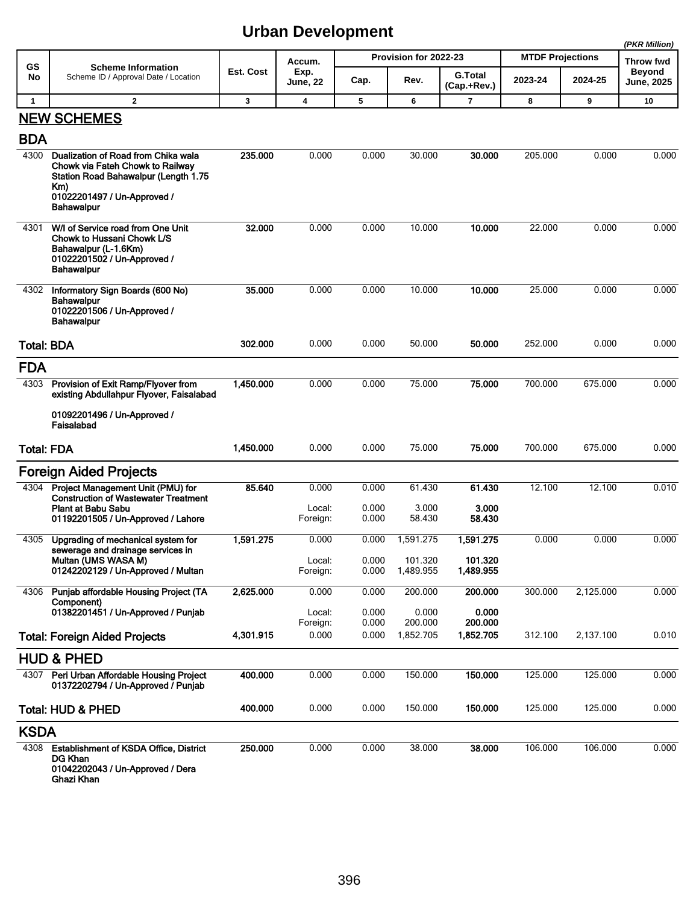|                   |                                                                                                                                      |                  |                         |                |                       |                               |                         |           | (PKR Million)                      |
|-------------------|--------------------------------------------------------------------------------------------------------------------------------------|------------------|-------------------------|----------------|-----------------------|-------------------------------|-------------------------|-----------|------------------------------------|
| GS                | <b>Scheme Information</b>                                                                                                            |                  | Accum.                  |                | Provision for 2022-23 |                               | <b>MTDF Projections</b> |           | Throw fwd                          |
| No                | Scheme ID / Approval Date / Location                                                                                                 | <b>Est. Cost</b> | Exp.<br><b>June, 22</b> | Cap.           | Rev.                  | <b>G.Total</b><br>(Cap.+Rev.) | 2023-24                 | 2024-25   | <b>Beyond</b><br><b>June, 2025</b> |
| $\mathbf{1}$      | $\overline{2}$                                                                                                                       | 3                | 4                       | 5              | 6                     | 7                             | 8                       | 9         | 10                                 |
|                   | <b>NEW SCHEMES</b>                                                                                                                   |                  |                         |                |                       |                               |                         |           |                                    |
| <b>BDA</b>        |                                                                                                                                      |                  |                         |                |                       |                               |                         |           |                                    |
| 4300              | Dualization of Road from Chika wala<br>Chowk via Fateh Chowk to Railway<br>Station Road Bahawalpur (Length 1.75<br>Km)               | 235.000          | 0.000                   | 0.000          | 30.000                | 30.000                        | 205.000                 | 0.000     | 0.000                              |
|                   | 01022201497 / Un-Approved /<br><b>Bahawalpur</b>                                                                                     |                  |                         |                |                       |                               |                         |           |                                    |
| 4301              | W/I of Service road from One Unit<br>Chowk to Hussani Chowk L/S<br>Bahawalpur (L-1.6Km)<br>01022201502 / Un-Approved /<br>Bahawalpur | 32,000           | 0.000                   | 0.000          | 10.000                | 10.000                        | 22.000                  | 0.000     | 0.000                              |
| 4302              | Informatory Sign Boards (600 No)<br>Bahawalpur<br>01022201506 / Un-Approved /<br><b>Bahawalpur</b>                                   | 35.000           | 0.000                   | 0.000          | 10.000                | 10.000                        | 25.000                  | 0.000     | 0.000                              |
| <b>Total: BDA</b> |                                                                                                                                      | 302.000          | 0.000                   | 0.000          | 50.000                | 50.000                        | 252.000                 | 0.000     | 0.000                              |
| <b>FDA</b>        |                                                                                                                                      |                  |                         |                |                       |                               |                         |           |                                    |
| 4303              | Provision of Exit Ramp/Flyover from<br>existing Abdullahpur Flyover, Faisalabad                                                      | 1,450.000        | 0.000                   | 0.000          | 75.000                | 75.000                        | 700.000                 | 675.000   | 0.000                              |
|                   | 01092201496 / Un-Approved /<br>Faisalabad                                                                                            |                  |                         |                |                       |                               |                         |           |                                    |
| <b>Total: FDA</b> |                                                                                                                                      | 1,450.000        | 0.000                   | 0.000          | 75.000                | 75.000                        | 700.000                 | 675.000   | 0.000                              |
|                   | Foreign Aided Projects                                                                                                               |                  |                         |                |                       |                               |                         |           |                                    |
| 4304              | Project Management Unit (PMU) for<br><b>Construction of Wastewater Treatment</b>                                                     | 85.640           | 0.000                   | 0.000          | 61.430                | 61.430                        | 12.100                  | 12.100    | 0.010                              |
|                   | Plant at Babu Sabu<br>01192201505 / Un-Approved / Lahore                                                                             |                  | Local:<br>Foreign:      | 0.000<br>0.000 | 3.000<br>58.430       | 3.000<br>58.430               |                         |           |                                    |
| 4305              | Upgrading of mechanical system for<br>sewerage and drainage services in                                                              | 1,591.275        | 0.000                   | 0.000          | 1.591.275             | 1,591.275                     | 0.000                   | 0.000     | 0.000                              |
|                   | Multan (UMS WASA M)<br>01242202129 / Un-Approved / Multan                                                                            |                  | Local:<br>Foreign:      | 0.000<br>0.000 | 101.320<br>1,489.955  | 101.320<br>1,489.955          |                         |           |                                    |
| 4306              | Punjab affordable Housing Project (TA<br>Component)                                                                                  | 2,625.000        | 0.000                   | 0.000          | 200.000               | 200.000                       | 300.000                 | 2,125.000 | 0.000                              |
|                   | 01382201451 / Un-Approved / Punjab                                                                                                   |                  | Local:                  | 0.000          | 0.000                 | 0.000                         |                         |           |                                    |
|                   |                                                                                                                                      |                  | Foreign:                | 0.000          | 200.000               | 200.000                       |                         |           |                                    |
|                   | <b>Total: Foreign Aided Projects</b>                                                                                                 | 4,301.915        | 0.000                   | 0.000          | 1,852.705             | 1,852.705                     | 312.100                 | 2,137.100 | 0.010                              |
|                   | <b>HUD &amp; PHED</b>                                                                                                                |                  |                         |                |                       |                               |                         |           |                                    |
| 4307              | Peri Urban Affordable Housing Project<br>01372202794 / Un-Approved / Punjab                                                          | 400.000          | 0.000                   | 0.000          | 150.000               | 150.000                       | 125.000                 | 125.000   | 0.000                              |
|                   | <b>Total: HUD &amp; PHED</b>                                                                                                         | 400.000          | 0.000                   | 0.000          | 150.000               | 150.000                       | 125.000                 | 125.000   | 0.000                              |
| <b>KSDA</b>       |                                                                                                                                      |                  |                         |                |                       |                               |                         |           |                                    |
|                   | 4308 Establishment of KSDA Office, District<br><b>DG Khan</b><br>01042202043 / Un-Approved / Dera<br>Ghazi Khan                      | 250.000          | 0.000                   | 0.000          | 38.000                | 38.000                        | 106.000                 | 106.000   | 0.000                              |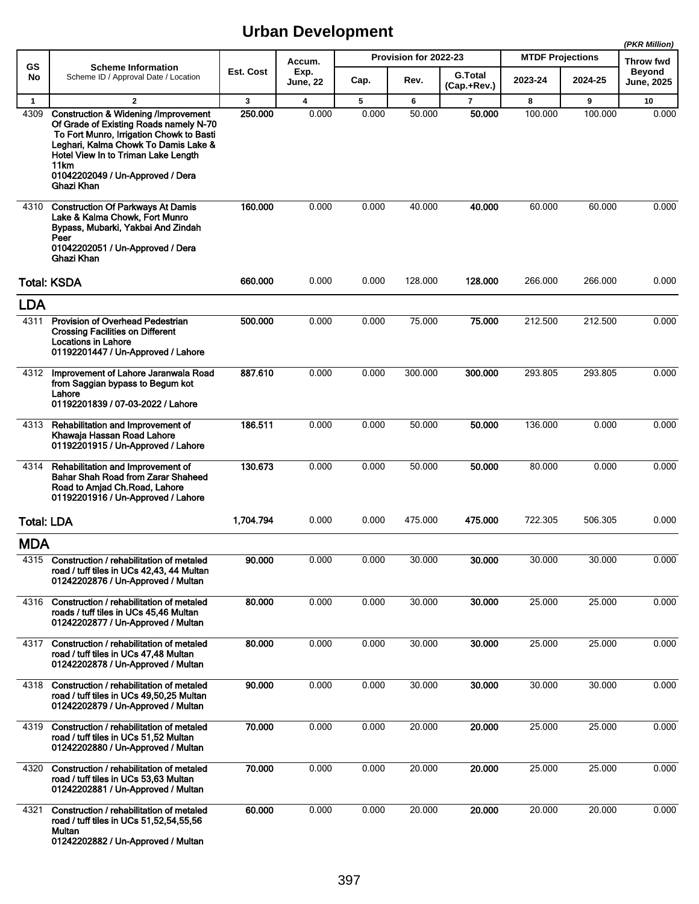|                   |                                                                                                                                                                                                                                                                                       |           |                         |       |                       |                               |                         |         | (PKR Million)                      |
|-------------------|---------------------------------------------------------------------------------------------------------------------------------------------------------------------------------------------------------------------------------------------------------------------------------------|-----------|-------------------------|-------|-----------------------|-------------------------------|-------------------------|---------|------------------------------------|
| GS                | <b>Scheme Information</b>                                                                                                                                                                                                                                                             |           | Accum.                  |       | Provision for 2022-23 |                               | <b>MTDF Projections</b> |         | <b>Throw fwd</b>                   |
| No                | Scheme ID / Approval Date / Location                                                                                                                                                                                                                                                  | Est. Cost | Exp.<br><b>June, 22</b> | Cap.  | Rev.                  | <b>G.Total</b><br>(Cap.+Rev.) | 2023-24                 | 2024-25 | <b>Beyond</b><br><b>June, 2025</b> |
| $\mathbf{1}$      | $\overline{2}$                                                                                                                                                                                                                                                                        | 3         | 4                       | 5     | 6                     | $\overline{7}$                | 8                       | 9       | 10                                 |
| 4309              | <b>Construction &amp; Widening /Improvement</b><br>Of Grade of Existing Roads namely N-70<br>To Fort Munro, Irrigation Chowk to Basti<br>Leghari, Kalma Chowk To Damis Lake &<br>Hotel View In to Triman Lake Length<br>11km<br>01042202049 / Un-Approved / Dera<br><b>Ghazi Khan</b> | 250,000   | 0.000                   | 0.000 | 50.000                | 50.000                        | 100.000                 | 100.000 | 0.000                              |
| 4310              | <b>Construction Of Parkways At Damis</b><br>Lake & Kalma Chowk, Fort Munro<br>Bypass, Mubarki, Yakbai And Zindah<br>Peer<br>01042202051 / Un-Approved / Dera<br>Ghazi Khan                                                                                                            | 160.000   | 0.000                   | 0.000 | 40.000                | 40.000                        | 60.000                  | 60.000  | 0.000                              |
|                   | <b>Total: KSDA</b>                                                                                                                                                                                                                                                                    | 660.000   | 0.000                   | 0.000 | 128.000               | 128.000                       | 266.000                 | 266.000 | 0.000                              |
| <b>LDA</b>        |                                                                                                                                                                                                                                                                                       |           |                         |       |                       |                               |                         |         |                                    |
| 4311              | <b>Provision of Overhead Pedestrian</b><br><b>Crossing Facilities on Different</b><br><b>Locations in Lahore</b><br>01192201447 / Un-Approved / Lahore                                                                                                                                | 500.000   | 0.000                   | 0.000 | 75.000                | 75.000                        | 212.500                 | 212.500 | 0.000                              |
| 4312              | Improvement of Lahore Jaranwala Road<br>from Saggian bypass to Begum kot<br>Lahore<br>01192201839 / 07-03-2022 / Lahore                                                                                                                                                               | 887.610   | 0.000                   | 0.000 | 300.000               | 300.000                       | 293.805                 | 293.805 | 0.000                              |
| 4313              | Rehabilitation and Improvement of<br>Khawaja Hassan Road Lahore<br>01192201915 / Un-Approved / Lahore                                                                                                                                                                                 | 186.511   | 0.000                   | 0.000 | 50.000                | 50,000                        | 136.000                 | 0.000   | 0.000                              |
| 4314              | Rehabilitation and Improvement of<br><b>Bahar Shah Road from Zarar Shaheed</b><br>Road to Amjad Ch.Road, Lahore<br>01192201916 / Un-Approved / Lahore                                                                                                                                 | 130.673   | 0.000                   | 0.000 | 50.000                | 50.000                        | 80.000                  | 0.000   | 0.000                              |
| <b>Total: LDA</b> |                                                                                                                                                                                                                                                                                       | 1,704.794 | 0.000                   | 0.000 | 475.000               | 475.000                       | 722.305                 | 506.305 | 0.000                              |
| <b>MDA</b>        |                                                                                                                                                                                                                                                                                       |           |                         |       |                       |                               |                         |         |                                    |
| 4315              | Construction / rehabilitation of metaled<br>road / tuff tiles in UCs 42,43, 44 Multan<br>01242202876 / Un-Approved / Multan                                                                                                                                                           | 90.000    | 0.000                   | 0.000 | 30.000                | 30.000                        | 30.000                  | 30.000  | 0.000                              |
| 4316              | Construction / rehabilitation of metaled<br>roads / tuff tiles in UCs 45,46 Multan<br>01242202877 / Un-Approved / Multan                                                                                                                                                              | 80.000    | 0.000                   | 0.000 | 30.000                | 30.000                        | 25.000                  | 25.000  | 0.000                              |
| 4317              | Construction / rehabilitation of metaled<br>road / tuff tiles in UCs 47,48 Multan<br>01242202878 / Un-Approved / Multan                                                                                                                                                               | 80.000    | 0.000                   | 0.000 | 30.000                | 30.000                        | 25.000                  | 25.000  | 0.000                              |
| 4318              | Construction / rehabilitation of metaled<br>road / tuff tiles in UCs 49,50,25 Multan<br>01242202879 / Un-Approved / Multan                                                                                                                                                            | 90.000    | 0.000                   | 0.000 | 30.000                | 30,000                        | 30.000                  | 30.000  | 0.000                              |
| 4319              | Construction / rehabilitation of metaled<br>road / tuff tiles in UCs 51,52 Multan<br>01242202880 / Un-Approved / Multan                                                                                                                                                               | 70.000    | 0.000                   | 0.000 | 20.000                | 20.000                        | 25.000                  | 25.000  | 0.000                              |
| 4320              | Construction / rehabilitation of metaled<br>road / tuff tiles in UCs 53,63 Multan<br>01242202881 / Un-Approved / Multan                                                                                                                                                               | 70.000    | 0.000                   | 0.000 | 20.000                | 20.000                        | 25.000                  | 25.000  | 0.000                              |
| 4321              | Construction / rehabilitation of metaled<br>road / tuff tiles in UCs 51,52,54,55,56<br>Multan<br>01242202882 / Un-Approved / Multan                                                                                                                                                   | 60.000    | 0.000                   | 0.000 | 20.000                | 20.000                        | 20.000                  | 20.000  | 0.000                              |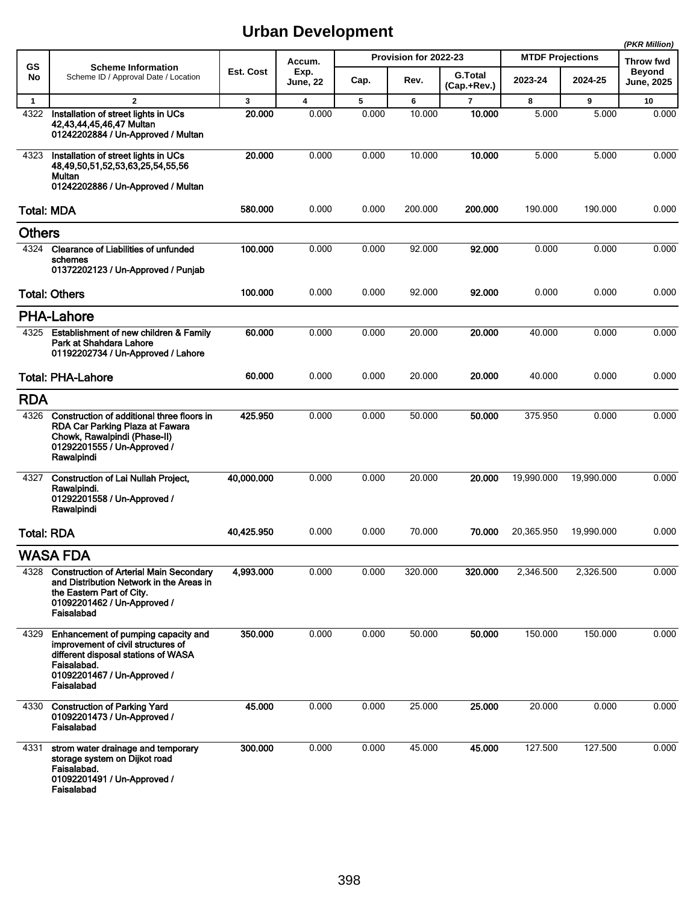|                   |                                                                                                                                                                              |            |                  |       |                       |                        |                         |            | (PKR Million)                      |
|-------------------|------------------------------------------------------------------------------------------------------------------------------------------------------------------------------|------------|------------------|-------|-----------------------|------------------------|-------------------------|------------|------------------------------------|
| GS                | <b>Scheme Information</b>                                                                                                                                                    |            | Accum.           |       | Provision for 2022-23 |                        | <b>MTDF Projections</b> |            | Throw fwd                          |
| No                | Scheme ID / Approval Date / Location                                                                                                                                         | Est. Cost  | Exp.<br>June, 22 | Cap.  | Rev.                  | G.Total<br>(Cap.+Rev.) | 2023-24                 | 2024-25    | <b>Beyond</b><br><b>June, 2025</b> |
| $\mathbf{1}$      | $\mathbf{2}$                                                                                                                                                                 | 3          | 4                | 5     | 6                     | $\overline{7}$         | 8                       | 9          | 10                                 |
| 4322              | Installation of street lights in UCs<br>42,43,44,45,46,47 Multan<br>01242202884 / Un-Approved / Multan                                                                       | 20,000     | 0.000            | 0.000 | 10.000                | 10.000                 | 5.000                   | 5.000      | 0.000                              |
| 4323              | Installation of street lights in UCs<br>48,49,50,51,52,53,63,25,54,55,56<br>Multan<br>01242202886 / Un-Approved / Multan                                                     | 20.000     | 0.000            | 0.000 | 10.000                | 10.000                 | 5.000                   | 5.000      | 0.000                              |
| <b>Total: MDA</b> |                                                                                                                                                                              | 580.000    | 0.000            | 0.000 | 200.000               | 200.000                | 190.000                 | 190.000    | 0.000                              |
| <b>Others</b>     |                                                                                                                                                                              |            |                  |       |                       |                        |                         |            |                                    |
| 4324              | <b>Clearance of Liabilities of unfunded</b><br>schemes<br>01372202123 / Un-Approved / Punjab                                                                                 | 100.000    | 0.000            | 0.000 | 92.000                | 92.000                 | 0.000                   | 0.000      | 0.000                              |
|                   | <b>Total: Others</b>                                                                                                                                                         | 100.000    | 0.000            | 0.000 | 92.000                | 92.000                 | 0.000                   | 0.000      | 0.000                              |
|                   | <b>PHA-Lahore</b>                                                                                                                                                            |            |                  |       |                       |                        |                         |            |                                    |
| 4325              | Establishment of new children & Family<br>Park at Shahdara Lahore<br>01192202734 / Un-Approved / Lahore                                                                      | 60.000     | 0.000            | 0.000 | 20.000                | 20.000                 | 40.000                  | 0.000      | 0.000                              |
|                   | <b>Total: PHA-Lahore</b>                                                                                                                                                     | 60.000     | 0.000            | 0.000 | 20.000                | 20.000                 | 40.000                  | 0.000      | 0.000                              |
| <b>RDA</b>        |                                                                                                                                                                              |            |                  |       |                       |                        |                         |            |                                    |
| 4326              | Construction of additional three floors in<br>RDA Car Parking Plaza at Fawara<br>Chowk, Rawalpindi (Phase-II)<br>01292201555 / Un-Approved /<br>Rawalpindi                   | 425.950    | 0.000            | 0.000 | 50.000                | 50.000                 | 375.950                 | 0.000      | 0.000                              |
| 4327              | <b>Construction of Lai Nullah Project,</b><br>Rawalpindi.<br>01292201558 / Un-Approved /<br>Rawalpindi                                                                       | 40,000.000 | 0.000            | 0.000 | 20.000                | 20,000                 | 19,990.000              | 19,990.000 | 0.000                              |
| <b>Total: RDA</b> |                                                                                                                                                                              | 40,425.950 | 0.000            | 0.000 | 70.000                | 70.000                 | 20,365.950              | 19,990.000 | 0.000                              |
|                   | <b>WASA FDA</b>                                                                                                                                                              |            |                  |       |                       |                        |                         |            |                                    |
|                   | 4328 Construction of Arterial Main Secondary<br>and Distribution Network in the Areas in<br>the Eastern Part of City.<br>01092201462 / Un-Approved /<br>Faisalabad           | 4,993.000  | 0.000            | 0.000 | 320.000               | 320.000                | 2,346.500               | 2,326.500  | 0.000                              |
| 4329              | Enhancement of pumping capacity and<br>improvement of civil structures of<br>different disposal stations of WASA<br>Faisalabad.<br>01092201467 / Un-Approved /<br>Faisalabad | 350.000    | 0.000            | 0.000 | 50.000                | 50.000                 | 150.000                 | 150.000    | 0.000                              |
| 4330              | <b>Construction of Parking Yard</b><br>01092201473 / Un-Approved /<br>Faisalabad                                                                                             | 45.000     | 0.000            | 0.000 | 25.000                | 25.000                 | 20.000                  | 0.000      | 0.000                              |
| 4331              | strom water drainage and temporary<br>storage system on Dijkot road<br>Faisalabad.<br>01092201491 / Un-Approved /<br>Faisalabad                                              | 300.000    | 0.000            | 0.000 | 45.000                | 45.000                 | 127.500                 | 127.500    | 0.000                              |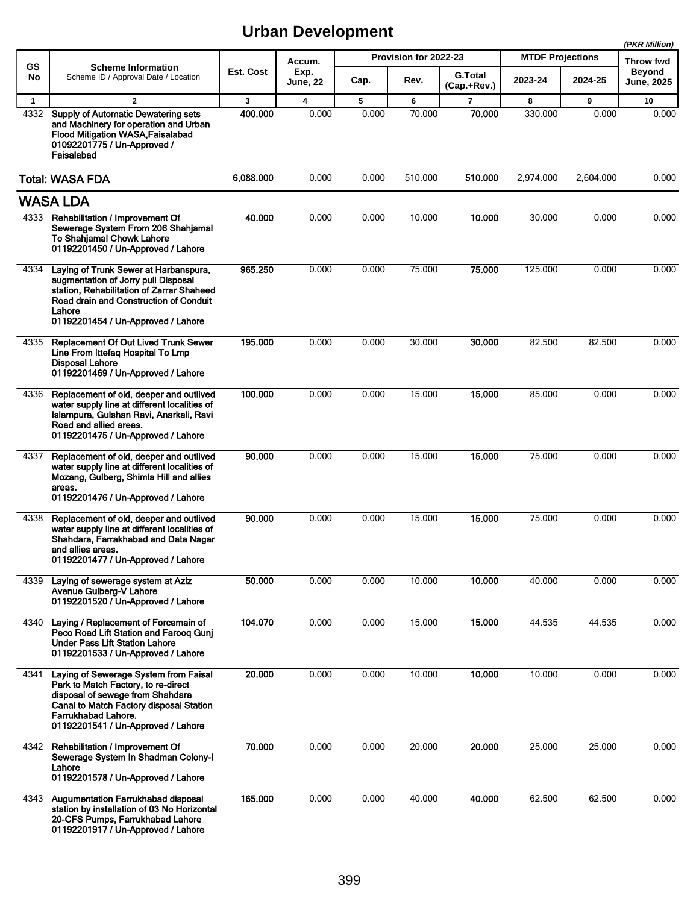|              |                                                                                                                                                                                                                          |              |                         |       |                       |                               |                         |           | (PKR Million)               |
|--------------|--------------------------------------------------------------------------------------------------------------------------------------------------------------------------------------------------------------------------|--------------|-------------------------|-------|-----------------------|-------------------------------|-------------------------|-----------|-----------------------------|
| <b>GS</b>    | <b>Scheme Information</b>                                                                                                                                                                                                |              | Accum.                  |       | Provision for 2022-23 |                               | <b>MTDF Projections</b> |           | Throw fwd                   |
| No           | Scheme ID / Approval Date / Location                                                                                                                                                                                     | Est. Cost    | Exp.<br><b>June, 22</b> | Cap.  | Rev.                  | <b>G.Total</b><br>(Cap.+Rev.) | 2023-24                 | 2024-25   | <b>Beyond</b><br>June, 2025 |
| $\mathbf{1}$ | $\mathbf{2}$                                                                                                                                                                                                             | $\mathbf{3}$ | $\overline{\mathbf{4}}$ | 5     | 6                     | $\overline{\phantom{a}}$      | 8                       | 9         | 10                          |
| 4332         | <b>Supply of Automatic Dewatering sets</b><br>and Machinery for operation and Urban<br>Flood Mitigation WASA, Faisalabad<br>01092201775 / Un-Approved /<br>Faisalabad                                                    | 400.000      | 0.000                   | 0.000 | 70.000                | 70.000                        | 330.000                 | 0.000     | 0.000                       |
|              | <b>Total: WASA FDA</b>                                                                                                                                                                                                   | 6,088.000    | 0.000                   | 0.000 | 510.000               | 510.000                       | 2,974.000               | 2,604.000 | 0.000                       |
|              | <b>WASA LDA</b>                                                                                                                                                                                                          |              |                         |       |                       |                               |                         |           |                             |
| 4333         | Rehabilitation / Improvement Of<br>Sewerage System From 206 Shahjamal<br>To Shahjamal Chowk Lahore<br>01192201450 / Un-Approved / Lahore                                                                                 | 40.000       | 0.000                   | 0.000 | 10.000                | 10.000                        | 30.000                  | 0.000     | 0.000                       |
| 4334         | Laying of Trunk Sewer at Harbanspura,<br>augmentation of Jorry pull Disposal<br>station, Rehabilitation of Zarrar Shaheed<br>Road drain and Construction of Conduit<br>Lahore<br>01192201454 / Un-Approved / Lahore      | 965.250      | 0.000                   | 0.000 | 75.000                | 75.000                        | 125.000                 | 0.000     | 0.000                       |
| 4335         | <b>Replacement Of Out Lived Trunk Sewer</b><br>Line From Ittefaq Hospital To Lmp<br><b>Disposal Lahore</b><br>01192201469 / Un-Approved / Lahore                                                                         | 195.000      | 0.000                   | 0.000 | 30.000                | 30.000                        | 82.500                  | 82.500    | 0.000                       |
| 4336         | Replacement of old, deeper and outlived<br>water supply line at different localities of<br>Islampura, Gulshan Ravi, Anarkali, Ravi<br>Road and allied areas.<br>01192201475 / Un-Approved / Lahore                       | 100.000      | 0.000                   | 0.000 | 15.000                | 15.000                        | 85.000                  | 0.000     | 0.000                       |
| 4337         | Replacement of old, deeper and outlived<br>water supply line at different localities of<br>Mozang, Gulberg, Shimla Hill and allies<br>areas.<br>01192201476 / Un-Approved / Lahore                                       | 90.000       | 0.000                   | 0.000 | 15.000                | 15.000                        | 75.000                  | 0.000     | 0.000                       |
| 4338         | Replacement of old, deeper and outlived<br>water supply line at different localities of<br>Shahdara, Farrakhabad and Data Nagar<br>and allies areas.<br>01192201477 / Un-Approved / Lahore                               | 90.000       | 0.000                   | 0.000 | 15.000                | 15.000                        | 75.000                  | 0.000     | 0.000                       |
| 4339         | Laying of sewerage system at Aziz<br>Avenue Gulberg-V Lahore<br>01192201520 / Un-Approved / Lahore                                                                                                                       | 50.000       | 0.000                   | 0.000 | 10.000                | 10.000                        | 40.000                  | 0.000     | 0.000                       |
| 4340         | Laying / Replacement of Forcemain of<br>Peco Road Lift Station and Farooq Gunj<br><b>Under Pass Lift Station Lahore</b><br>01192201533 / Un-Approved / Lahore                                                            | 104.070      | 0.000                   | 0.000 | 15.000                | 15.000                        | 44.535                  | 44.535    | 0.000                       |
| 4341         | Laying of Sewerage System from Faisal<br>Park to Match Factory, to re-direct<br>disposal of sewage from Shahdara<br>Canal to Match Factory disposal Station<br>Farrukhabad Lahore.<br>01192201541 / Un-Approved / Lahore | 20.000       | 0.000                   | 0.000 | 10.000                | 10.000                        | 10.000                  | 0.000     | 0.000                       |
| 4342         | Rehabilitation / Improvement Of<br>Sewerage System In Shadman Colony-I<br>Lahore<br>01192201578 / Un-Approved / Lahore                                                                                                   | 70.000       | 0.000                   | 0.000 | 20.000                | 20.000                        | 25.000                  | 25.000    | 0.000                       |
| 4343         | Augumentation Farrukhabad disposal<br>station by installation of 03 No Horizontal<br>20-CFS Pumps, Farrukhabad Lahore<br>01192201917 / Un-Approved / Lahore                                                              | 165.000      | 0.000                   | 0.000 | 40.000                | 40.000                        | 62.500                  | 62.500    | 0.000                       |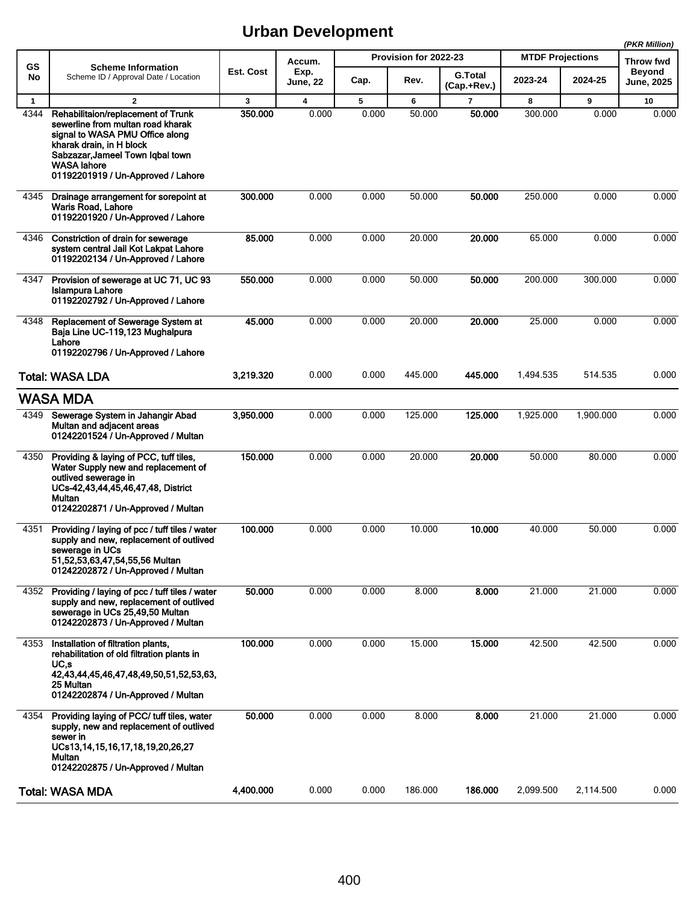|              |                                                                                                                                                                                                                                        |           |                         |       |                       |                               |                         |           | (PKR Million)               |
|--------------|----------------------------------------------------------------------------------------------------------------------------------------------------------------------------------------------------------------------------------------|-----------|-------------------------|-------|-----------------------|-------------------------------|-------------------------|-----------|-----------------------------|
| GS           | <b>Scheme Information</b>                                                                                                                                                                                                              |           | Accum.                  |       | Provision for 2022-23 |                               | <b>MTDF Projections</b> |           | <b>Throw fwd</b>            |
| No           | Scheme ID / Approval Date / Location                                                                                                                                                                                                   | Est. Cost | Exp.<br><b>June, 22</b> | Cap.  | Rev.                  | <b>G.Total</b><br>(Cap.+Rev.) | 2023-24                 | 2024-25   | <b>Beyond</b><br>June, 2025 |
| $\mathbf{1}$ | $\mathbf{2}$                                                                                                                                                                                                                           | 3         | $\overline{\mathbf{4}}$ | 5     | 6                     | $\overline{\mathbf{r}}$       | 8                       | 9         | 10                          |
| 4344         | Rehabilitaion/replacement of Trunk<br>sewerline from multan road kharak<br>signal to WASA PMU Office along<br>kharak drain, in H block<br>Sabzazar, Jameel Town Iqbal town<br><b>WASA lahore</b><br>01192201919 / Un-Approved / Lahore | 350.000   | 0.000                   | 0.000 | 50.000                | 50.000                        | 300.000                 | 0.000     | 0.000                       |
| 4345         | Drainage arrangement for sorepoint at<br>Waris Road, Lahore<br>01192201920 / Un-Approved / Lahore                                                                                                                                      | 300,000   | 0.000                   | 0.000 | 50.000                | 50.000                        | 250.000                 | 0.000     | 0.000                       |
| 4346         | Constriction of drain for sewerage<br>system central Jail Kot Lakpat Lahore<br>01192202134 / Un-Approved / Lahore                                                                                                                      | 85.000    | 0.000                   | 0.000 | 20.000                | 20.000                        | 65.000                  | 0.000     | 0.000                       |
| 4347         | Provision of sewerage at UC 71, UC 93<br><b>Islampura Lahore</b><br>01192202792 / Un-Approved / Lahore                                                                                                                                 | 550.000   | 0.000                   | 0.000 | 50.000                | 50.000                        | 200.000                 | 300.000   | 0.000                       |
| 4348         | Replacement of Sewerage System at<br>Baja Line UC-119,123 Mughalpura<br>Lahore<br>01192202796 / Un-Approved / Lahore                                                                                                                   | 45.000    | 0.000                   | 0.000 | 20.000                | 20.000                        | 25.000                  | 0.000     | 0.000                       |
|              | <b>Total: WASA LDA</b>                                                                                                                                                                                                                 | 3,219.320 | 0.000                   | 0.000 | 445.000               | 445.000                       | 1,494.535               | 514.535   | 0.000                       |
|              | <b>WASA MDA</b>                                                                                                                                                                                                                        |           |                         |       |                       |                               |                         |           |                             |
| 4349         | Sewerage System in Jahangir Abad<br>Multan and adjacent areas<br>01242201524 / Un-Approved / Multan                                                                                                                                    | 3,950.000 | 0.000                   | 0.000 | 125.000               | 125.000                       | 1,925.000               | 1,900.000 | 0.000                       |
| 4350         | Providing & laying of PCC, tuff tiles,<br>Water Supply new and replacement of<br>outlived sewerage in<br>UCs-42,43,44,45,46,47,48, District<br>Multan<br>01242202871 / Un-Approved / Multan                                            | 150.000   | 0.000                   | 0.000 | 20.000                | 20.000                        | 50.000                  | 80.000    | 0.000                       |
| 4351         | Providing / laying of pcc / tuff tiles / water<br>supply and new, replacement of outlived<br>sewerage in UCs<br>51,52,53,63,47,54,55,56 Multan<br>01242202872 / Un-Approved / Multan                                                   | 100.000   | 0.000                   | 0.000 | 10.000                | 10.000                        | 40.000                  | 50.000    | 0.000                       |
| 4352         | Providing / laying of pcc / tuff tiles / water<br>supply and new, replacement of outlived<br>sewerage in UCs 25,49,50 Multan<br>01242202873 / Un-Approved / Multan                                                                     | 50.000    | 0.000                   | 0.000 | 8.000                 | 8.000                         | 21.000                  | 21.000    | 0.000                       |
| 4353         | Installation of filtration plants,<br>rehabilitation of old filtration plants in<br>UC,s<br>42,43,44,45,46,47,48,49,50,51,52,53,63,<br>25 Multan<br>01242202874 / Un-Approved / Multan                                                 | 100.000   | 0.000                   | 0.000 | 15.000                | 15.000                        | 42.500                  | 42.500    | 0.000                       |
| 4354         | Providing laying of PCC/ tuff tiles, water<br>supply, new and replacement of outlived<br>sewer in<br>UCs13, 14, 15, 16, 17, 18, 19, 20, 26, 27<br>Multan<br>01242202875 / Un-Approved / Multan                                         | 50.000    | 0.000                   | 0.000 | 8.000                 | 8.000                         | 21.000                  | 21.000    | 0.000                       |
|              | <b>Total: WASA MDA</b>                                                                                                                                                                                                                 | 4,400.000 | 0.000                   | 0.000 | 186.000               | 186.000                       | 2,099.500               | 2,114.500 | 0.000                       |